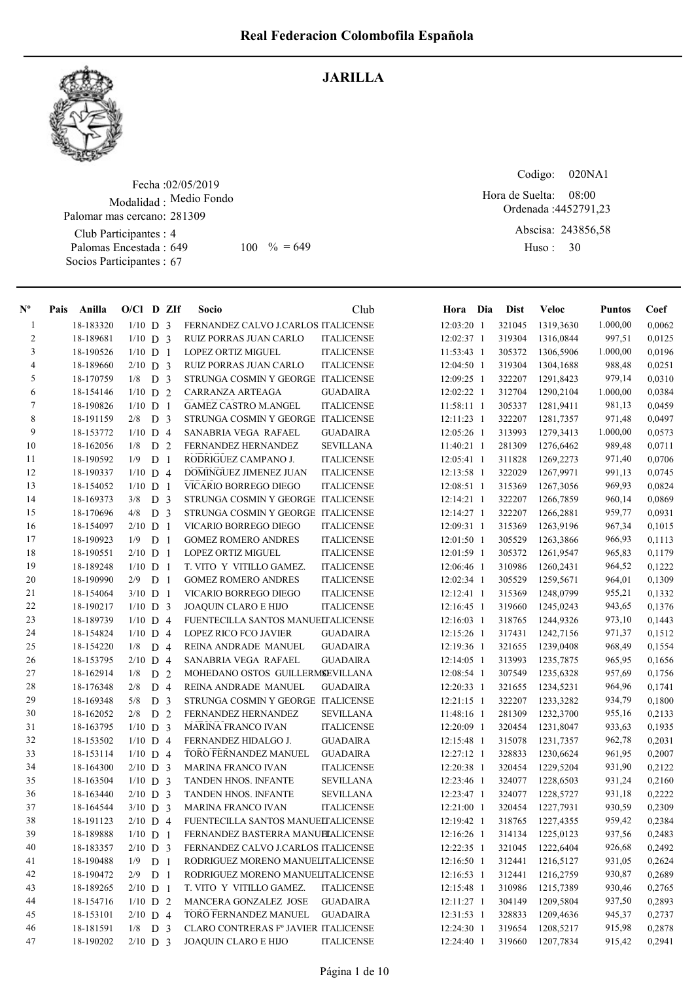

## JARILLA

Fecha : 02/05/2019 Modalidad : Medio Fondo Palomar mas cercano: 281309

Club Participantes : 4 Palomas Encestada : Socios Participantes : 67 649 100  $\% = 649$  Huso: 30

Codigo: 020NA1 Ordenada : 4452791,23 Abscisa: 243856,58 08:00 Hora de Suelta:

Huso : 30

| $N^{\circ}$    | Pais | Anilla    | $O/CI$ D ZIf |                |    | Socio                                | Club              | Hora Dia     | <b>Dist</b> | Veloc     | <b>Puntos</b> | Coef   |
|----------------|------|-----------|--------------|----------------|----|--------------------------------------|-------------------|--------------|-------------|-----------|---------------|--------|
| -1             |      | 18-183320 | $1/10$ D 3   |                |    | FERNANDEZ CALVO J.CARLOS ITALICENSE  |                   | 12:03:20 1   | 321045      | 1319,3630 | 1.000,00      | 0,0062 |
| $\overline{2}$ |      | 18-189681 | $1/10$ D 3   |                |    | RUIZ PORRAS JUAN CARLO               | <b>ITALICENSE</b> | 12:02:37 1   | 319304      | 1316,0844 | 997,51        | 0,0125 |
| 3              |      | 18-190526 | $1/10$ D 1   |                |    | <b>LOPEZ ORTIZ MIGUEL</b>            | <b>ITALICENSE</b> | $11:53:43$ 1 | 305372      | 1306,5906 | 1.000,00      | 0,0196 |
| 4              |      | 18-189660 | $2/10$ D 3   |                |    | <b>RUIZ PORRAS JUAN CARLO</b>        | <b>ITALICENSE</b> | 12:04:50 1   | 319304      | 1304,1688 | 988,48        | 0,0251 |
| 5              |      | 18-170759 | $1/8$ D 3    |                |    | STRUNGA COSMIN Y GEORGE ITALICENSE   |                   | 12:09:25 1   | 322207      | 1291,8423 | 979,14        | 0,0310 |
| 6              |      | 18-154146 | $1/10$ D 2   |                |    | CARRANZA ARTEAGA                     | <b>GUADAIRA</b>   | 12:02:22 1   | 312704      | 1290,2104 | 1.000,00      | 0,0384 |
| 7              |      | 18-190826 | $1/10$ D 1   |                |    | <b>GAMEZ CASTRO M.ANGEL</b>          | <b>ITALICENSE</b> | $11:58:11$ 1 | 305337      | 1281,9411 | 981,13        | 0,0459 |
| 8              |      | 18-191159 | $2/8$ D 3    |                |    | STRUNGA COSMIN Y GEORGE ITALICENSE   |                   | 12:11:23 1   | 322207      | 1281,7357 | 971,48        | 0,0497 |
| 9              |      | 18-153772 | $1/10$ D 4   |                |    | SANABRIA VEGA RAFAEL                 | <b>GUADAIRA</b>   | 12:05:26 1   | 313993      | 1279,3413 | 1.000,00      | 0,0573 |
| 10             |      | 18-162056 | 1/8          | D 2            |    | FERNANDEZ HERNANDEZ                  | <b>SEVILLANA</b>  | 11:40:21 1   | 281309      | 1276,6462 | 989,48        | 0,0711 |
| 11             |      | 18-190592 | 1/9          | D <sub>1</sub> |    | RODRIGUEZ CAMPANO J.                 | <b>ITALICENSE</b> | $12:05:41$ 1 | 311828      | 1269,2273 | 971,40        | 0,0706 |
| 12             |      | 18-190337 | $1/10$ D 4   |                |    | DOMINGUEZ JIMENEZ JUAN               | <b>ITALICENSE</b> | 12:13:58 1   | 322029      | 1267,9971 | 991,13        | 0,0745 |
| 13             |      | 18-154052 | $1/10$ D 1   |                |    | VICARIO BORREGO DIEGO                | <b>ITALICENSE</b> | $12:08:51$ 1 | 315369      | 1267,3056 | 969,93        | 0,0824 |
| 14             |      | 18-169373 | 3/8          | D <sub>3</sub> |    | STRUNGA COSMIN Y GEORGE ITALICENSE   |                   | 12:14:21 1   | 322207      | 1266,7859 | 960,14        | 0,0869 |
| 15             |      | 18-170696 | 4/8          | D <sub>3</sub> |    | STRUNGA COSMIN Y GEORGE ITALICENSE   |                   | 12:14:27 1   | 322207      | 1266,2881 | 959,77        | 0,0931 |
| 16             |      | 18-154097 | $2/10$ D 1   |                |    | VICARIO BORREGO DIEGO                | <b>ITALICENSE</b> | 12:09:31 1   | 315369      | 1263,9196 | 967,34        | 0,1015 |
| 17             |      | 18-190923 | 1/9          | D 1            |    | <b>GOMEZ ROMERO ANDRES</b>           | <b>ITALICENSE</b> | $12:01:50$ 1 | 305529      | 1263,3866 | 966,93        | 0,1113 |
| 18             |      | 18-190551 | $2/10$ D 1   |                |    | LOPEZ ORTIZ MIGUEL                   | <b>ITALICENSE</b> | 12:01:59 1   | 305372      | 1261,9547 | 965,83        | 0,1179 |
| 19             |      | 18-189248 | $1/10$ D 1   |                |    | T. VITO Y VITILLO GAMEZ.             | <b>ITALICENSE</b> | 12:06:46 1   | 310986      | 1260,2431 | 964,52        | 0,1222 |
| 20             |      | 18-190990 | 2/9          | D              | -1 | <b>GOMEZ ROMERO ANDRES</b>           | <b>ITALICENSE</b> | 12:02:34 1   | 305529      | 1259,5671 | 964,01        | 0,1309 |
| 21             |      | 18-154064 | $3/10$ D 1   |                |    | VICARIO BORREGO DIEGO                | <b>ITALICENSE</b> | 12:12:41 1   | 315369      | 1248,0799 | 955,21        | 0,1332 |
| 22             |      | 18-190217 | $1/10$ D 3   |                |    | <b>JOAQUIN CLARO E HIJO</b>          | <b>ITALICENSE</b> | $12:16:45$ 1 | 319660      | 1245,0243 | 943,65        | 0,1376 |
| 23             |      | 18-189739 | $1/10$ D 4   |                |    | FUENTECILLA SANTOS MANUELTALICENSE   |                   | 12:16:03 1   | 318765      | 1244,9326 | 973,10        | 0,1443 |
| 24             |      | 18-154824 | $1/10$ D 4   |                |    | <b>LOPEZ RICO FCO JAVIER</b>         | GUADAIRA          | 12:15:26 1   | 317431      | 1242,7156 | 971,37        | 0,1512 |
| 25             |      | 18-154220 | 1/8          | D <sub>4</sub> |    | REINA ANDRADE MANUEL                 | <b>GUADAIRA</b>   | 12:19:36 1   | 321655      | 1239,0408 | 968,49        | 0,1554 |
| 26             |      | 18-153795 | $2/10$ D 4   |                |    | SANABRIA VEGA RAFAEL                 | GUADAIRA          | $12:14:05$ 1 | 313993      | 1235,7875 | 965,95        | 0,1656 |
| 27             |      | 18-162914 | 1/8          | D <sub>2</sub> |    | MOHEDANO OSTOS GUILLERMSEVILLANA     |                   | 12:08:54 1   | 307549      | 1235,6328 | 957,69        | 0,1756 |
| 28             |      | 18-176348 | 2/8          | D 4            |    | REINA ANDRADE MANUEL                 | <b>GUADAIRA</b>   | $12:20:33$ 1 | 321655      | 1234,5231 | 964,96        | 0,1741 |
| 29             |      | 18-169348 | 5/8          | D <sub>3</sub> |    | STRUNGA COSMIN Y GEORGE ITALICENSE   |                   | $12:21:15$ 1 | 322207      | 1233,3282 | 934,79        | 0,1800 |
| 30             |      | 18-162052 | 2/8          | D <sub>2</sub> |    | FERNANDEZ HERNANDEZ                  | SEVILLANA         | 11:48:16 1   | 281309      | 1232,3700 | 955,16        | 0,2133 |
| 31             |      | 18-163795 | $1/10$ D 3   |                |    | <b>MARINA FRANCO IVAN</b>            | <b>ITALICENSE</b> | 12:20:09 1   | 320454      | 1231,8047 | 933,63        | 0,1935 |
| 32             |      | 18-153502 | $1/10$ D 4   |                |    | FERNANDEZ HIDALGO J.                 | <b>GUADAIRA</b>   | $12:15:48$ 1 | 315078      | 1231,7357 | 962,78        | 0,2031 |
| 33             |      | 18-153114 | $1/10$ D 4   |                |    | TORO FERNANDEZ MANUEL                | <b>GUADAIRA</b>   | 12:27:12 1   | 328833      | 1230,6624 | 961,95        | 0,2007 |
| 34             |      | 18-164300 | $2/10$ D 3   |                |    | <b>MARINA FRANCO IVAN</b>            | <b>ITALICENSE</b> | 12:20:38 1   | 320454      | 1229,5204 | 931,90        | 0,2122 |
| 35             |      | 18-163504 | $1/10$ D 3   |                |    | TANDEN HNOS. INFANTE                 | <b>SEVILLANA</b>  | 12:23:46 1   | 324077      | 1228,6503 | 931,24        | 0,2160 |
| 36             |      | 18-163440 | $2/10$ D 3   |                |    | TANDEN HNOS. INFANTE                 | <b>SEVILLANA</b>  | 12:23:47 1   | 324077      | 1228,5727 | 931,18        | 0,2222 |
| 37             |      | 18-164544 | $3/10$ D 3   |                |    | <b>MARINA FRANCO IVAN</b>            | <b>ITALICENSE</b> | $12:21:00$ 1 | 320454      | 1227,7931 | 930,59        | 0,2309 |
| 38             |      | 18-191123 | $2/10$ D 4   |                |    | FUENTECILLA SANTOS MANUELTALICENSE   |                   | 12:19:42 1   | 318765      | 1227,4355 | 959,42        | 0,2384 |
| 39             |      | 18-189888 | $1/10$ D 1   |                |    | FERNANDEZ BASTERRA MANUELALICENSE    |                   | 12:16:26 1   | 314134      | 1225,0123 | 937,56        | 0,2483 |
| 40             |      | 18-183357 | $2/10$ D 3   |                |    | FERNANDEZ CALVO J.CARLOS ITALICENSE  |                   | 12:22:35 1   | 321045      | 1222,6404 | 926,68        | 0,2492 |
| 41             |      | 18-190488 | $1/9$ D 1    |                |    | RODRIGUEZ MORENO MANUELITALICENSE    |                   | 12:16:50 1   | 312441      | 1216,5127 | 931,05        | 0,2624 |
| 42             |      | 18-190472 | $2/9$ D 1    |                |    | RODRIGUEZ MORENO MANUELITALICENSE    |                   | $12:16:53$ 1 | 312441      | 1216,2759 | 930,87        | 0,2689 |
| 43             |      | 18-189265 | $2/10$ D 1   |                |    | T. VITO Y VITILLO GAMEZ.             | <b>ITALICENSE</b> | 12:15:48 1   | 310986      | 1215,7389 | 930,46        | 0,2765 |
| 44             |      | 18-154716 | $1/10$ D 2   |                |    | MANCERA GONZALEZ JOSE                | <b>GUADAIRA</b>   | 12:11:27 1   | 304149      | 1209,5804 | 937,50        | 0,2893 |
| 45             |      | 18-153101 | $2/10$ D 4   |                |    | TORO FERNANDEZ MANUEL                | <b>GUADAIRA</b>   | 12:31:53 1   | 328833      | 1209,4636 | 945,37        | 0,2737 |
| 46             |      | 18-181591 | $1/8$ D 3    |                |    | CLARO CONTRERAS Fº JAVIER ITALICENSE |                   | 12:24:30 1   | 319654      | 1208,5217 | 915,98        | 0,2878 |
| 47             |      | 18-190202 | $2/10$ D 3   |                |    | <b>JOAQUIN CLARO E HIJO</b>          | <b>ITALICENSE</b> | 12:24:40 1   | 319660      | 1207,7834 | 915,42        | 0,2941 |
|                |      |           |              |                |    |                                      |                   |              |             |           |               |        |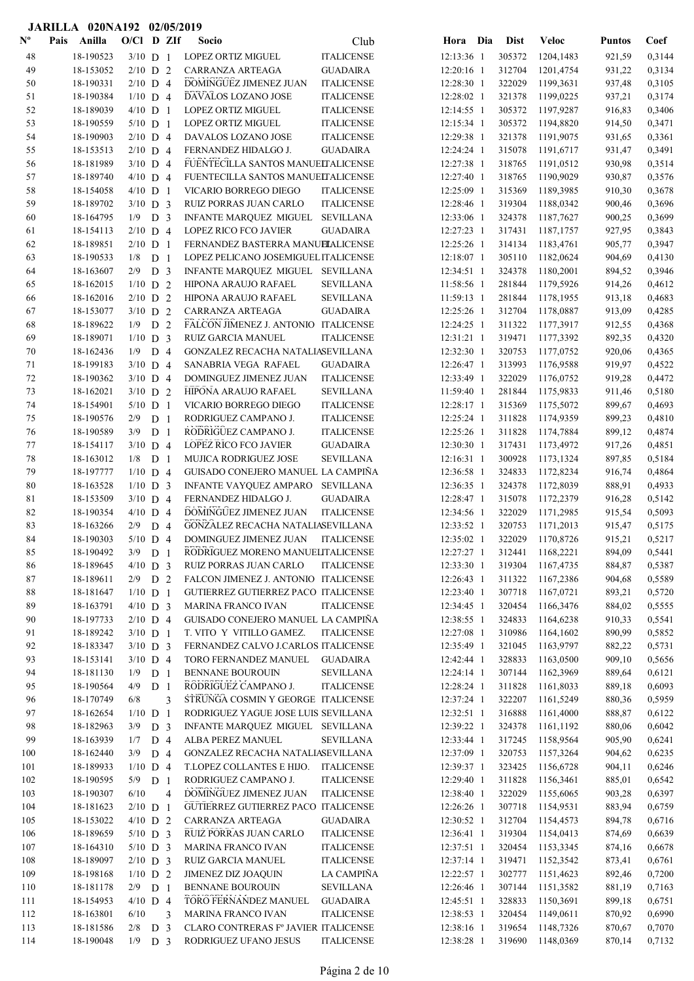|                           | JARILLA 020NA192 02/05/2019 |                          |                |                |                                                 |                                       |                          |     |                  |                        |                  |                  |
|---------------------------|-----------------------------|--------------------------|----------------|----------------|-------------------------------------------------|---------------------------------------|--------------------------|-----|------------------|------------------------|------------------|------------------|
| $\mathbf{N}^{\mathbf{o}}$ | Anilla<br>Pais              | $O/C1$ D ZIf             |                |                | <b>Socio</b>                                    | Club                                  | Hora                     | Dia | <b>Dist</b>      | <b>Veloc</b>           | <b>Puntos</b>    | Coef             |
| 48                        | 18-190523                   | $3/10$ D 1               |                |                | LOPEZ ORTIZ MIGUEL                              | <b>ITALICENSE</b>                     | 12:13:36 1               |     | 305372           | 1204,1483              | 921,59           | 0,3144           |
| 49                        | 18-153052                   | $2/10$ D 2               |                |                | CARRANZA ARTEAGA                                | <b>GUADAIRA</b>                       | 12:20:16 1               |     | 312704           | 1201,4754              | 931,22           | 0,3134           |
| 50                        | 18-190331                   | $2/10$ D 4               |                |                | <b>DOMINGUEZ JIMENEZ JUAN</b>                   | <b>ITALICENSE</b>                     | 12:28:30 1               |     | 322029           | 1199,3631              | 937,48           | 0,3105           |
| 51                        | 18-190384                   | $1/10$ D 4               |                |                | DAVALOS LOZANO JOSE                             | <b>ITALICENSE</b>                     | 12:28:02 1               |     | 321378           | 1199,0225              | 937,21           | 0,3174           |
| 52                        | 18-189039                   | $4/10$ D 1               |                |                | <b>LOPEZ ORTIZ MIGUEL</b>                       | <b>ITALICENSE</b>                     | 12:14:55 1               |     | 305372           | 1197,9287              | 916,83           | 0,3406           |
| 53                        | 18-190559                   | $5/10$ D 1               |                |                | <b>LOPEZ ORTIZ MIGUEL</b>                       | <b>ITALICENSE</b>                     | 12:15:34 1               |     | 305372           | 1194,8820              | 914,50           | 0,3471           |
| 54                        | 18-190903                   | $2/10$ D 4               |                |                | DAVALOS LOZANO JOSE                             | <b>ITALICENSE</b>                     | 12:29:38 1               |     | 321378           | 1191,9075              | 931,65           | 0,3361           |
| 55                        | 18-153513                   | $2/10$ D 4               |                |                | FERNANDEZ HIDALGO J.                            | <b>GUADAIRA</b>                       | 12:24:24 1               |     | 315078           | 1191,6717              | 931,47           | 0,3491           |
| 56                        | 18-181989                   | $3/10$ D 4               |                |                | FUENTECILLA SANTOS MANUELTALICENSE              |                                       | 12:27:38 1               |     | 318765           | 1191,0512              | 930,98           | 0,3514           |
| 57                        | 18-189740                   | $4/10$ D 4               |                |                | FUENTECILLA SANTOS MANUELTALICENSE              |                                       | 12:27:40 1               |     | 318765           | 1190,9029              | 930,87           | 0,3576           |
| 58                        | 18-154058                   | $4/10$ D 1               |                |                | VICARIO BORREGO DIEGO                           | <b>ITALICENSE</b>                     | 12:25:09 1               |     | 315369           | 1189,3985              | 910,30           | 0,3678           |
| 59                        | 18-189702                   | $3/10$ D 3               |                |                | RUIZ PORRAS JUAN CARLO                          | <b>ITALICENSE</b>                     | 12:28:46 1               |     | 319304           | 1188,0342              | 900,46           | 0,3696           |
| 60                        | 18-164795                   | 1/9                      | D <sub>3</sub> |                | INFANTE MARQUEZ MIGUEL                          | <b>SEVILLANA</b>                      | 12:33:06 1               |     | 324378           | 1187,7627              | 900,25           | 0,3699           |
| 61                        | 18-154113                   | $2/10$ D 4               |                |                | LOPEZ RICO FCO JAVIER                           | <b>GUADAIRA</b>                       | 12:27:23 1               |     | 317431           | 1187,1757              | 927,95           | 0,3843           |
| 62                        | 18-189851                   | $2/10$ D 1               |                |                | FERNANDEZ BASTERRA MANUELALICENSE               |                                       | 12:25:26 1               |     | 314134           | 1183,4761              | 905,77           | 0,3947           |
| 63                        | 18-190533                   | 1/8                      | D <sub>1</sub> |                | LOPEZ PELICANO JOSEMIGUEL ITALICENSE            |                                       | $12:18:07$ 1             |     | 305110           | 1182,0624              | 904,69           | 0,4130           |
| 64                        | 18-163607                   | 2/9                      | D <sub>3</sub> |                | INFANTE MARQUEZ MIGUEL SEVILLANA                |                                       | $12:34:51$ 1             |     | 324378           | 1180,2001              | 894,52           | 0,3946           |
| 65                        | 18-162015                   | $1/10$ D 2               |                |                | HIPONA ARAUJO RAFAEL                            | <b>SEVILLANA</b>                      | 11:58:56 1               |     | 281844           | 1179,5926              | 914,26           | 0,4612           |
| 66                        | 18-162016                   | $2/10$ D 2               |                |                | HIPONA ARAUJO RAFAEL                            | <b>SEVILLANA</b>                      | 11:59:13 1               |     | 281844           | 1178,1955              | 913,18           | 0,4683           |
| 67                        | 18-153077                   | $3/10$ D 2               |                |                | CARRANZA ARTEAGA                                | <b>GUADAIRA</b>                       | 12:25:26 1               |     | 312704           | 1178,0887              | 913,09           | 0,4285           |
| 68                        | 18-189622                   | $1/9$ D 2                |                |                | FALCON JIMENEZ J. ANTONIO ITALICENSE            |                                       | 12:24:25 1               |     | 311322           | 1177,3917              | 912,55           | 0,4368           |
| 69                        | 18-189071                   | $1/10$ D 3               |                |                | RUIZ GARCIA MANUEL                              | <b>ITALICENSE</b>                     | 12:31:21 1               |     | 319471           | 1177,3392              | 892,35           | 0,4320           |
| 70                        | 18-162436                   | 1/9                      | D 4            |                | GONZALEZ RECACHA NATALIASEVILLANA               |                                       | 12:32:30 1               |     | 320753           | 1177,0752              | 920,06           | 0,4365           |
| 71                        | 18-199183                   | $3/10$ D 4               |                |                | SANABRIA VEGA RAFAEL                            | <b>GUADAIRA</b>                       | 12:26:47 1               |     | 313993           | 1176,9588              | 919,97           | 0,4522           |
| 72<br>73                  | 18-190362                   | $3/10$ D 4               |                |                | DOMINGUEZ JIMENEZ JUAN<br>HIPONA ARAUJO RAFAEL  | <b>ITALICENSE</b><br><b>SEVILLANA</b> | 12:33:49 1<br>11:59:40 1 |     | 322029<br>281844 | 1176,0752<br>1175,9833 | 919,28           | 0,4472           |
| 74                        | 18-162021<br>18-154901      | $3/10$ D 2<br>$5/10$ D 1 |                |                | VICARIO BORREGO DIEGO                           | <b>ITALICENSE</b>                     | $12:28:17$ 1             |     | 315369           | 1175,5072              | 911,46<br>899,67 | 0,5180<br>0,4693 |
| 75                        | 18-190576                   | 2/9                      | D <sub>1</sub> |                | RODRIGUEZ CAMPANO J.                            | <b>ITALICENSE</b>                     | 12:25:24 1               |     | 311828           | 1174,9359              | 899,23           | 0,4810           |
| 76                        | 18-190589                   | 3/9                      | D <sub>1</sub> |                | RODRIGUEZ CAMPANO J.                            | <b>ITALICENSE</b>                     | 12:25:26 1               |     | 311828           | 1174,7884              | 899,12           | 0,4874           |
| 77                        | 18-154117                   | $3/10$ D 4               |                |                | <b>LOPEZ RICO FCO JAVIER</b>                    | <b>GUADAIRA</b>                       | 12:30:30 1               |     | 317431           | 1173,4972              | 917,26           | 0,4851           |
| 78                        | 18-163012                   | 1/8                      | D <sub>1</sub> |                | MUJICA RODRIGUEZ JOSE                           | <b>SEVILLANA</b>                      | 12:16:31 1               |     | 300928           | 1173,1324              | 897,85           | 0,5184           |
| 79                        | 18-197777                   | $1/10$ D 4               |                |                | GUISADO CONEJERO MANUEL LA CAMPIÑA              |                                       | 12:36:58 1               |     | 324833           | 1172,8234              | 916,74           | 0,4864           |
| 80                        | 18-163528                   | $1/10$ D 3               |                |                | INFANTE VAYQUEZ AMPARO                          | <b>SEVILLANA</b>                      | 12:36:35 1               |     | 324378           | 1172,8039              | 888,91           | 0,4933           |
| 81                        | 18-153509                   | $3/10$ D 4               |                |                | FERNANDEZ HIDALGO J.                            | <b>GUADAIRA</b>                       | 12:28:47 1               |     | 315078           | 1172,2379              | 916,28           | 0,5142           |
| 82                        | 18-190354                   | $4/10$ D 4               |                |                | DOMINGUEZ JIMENEZ JUAN                          | <b>ITALICENSE</b>                     | 12:34:56 1               |     | 322029           | 1171,2985              | 915,54           | 0,5093           |
| 83                        | 18-163266                   | 2/9                      | D <sub>4</sub> |                | GONZALEZ RECACHA NATALIASEVILLANA               |                                       | 12:33:52 1               |     | 320753           | 1171,2013              | 915,47           | 0,5175           |
| 84                        | 18-190303                   | $5/10$ D 4               |                |                | <b>DOMINGUEZ JIMENEZ JUAN</b>                   | <b>ITALICENSE</b>                     | 12:35:02 1               |     | 322029           | 1170,8726              | 915,21           | 0,5217           |
| 85                        | 18-190492                   | 3/9                      | D <sub>1</sub> |                | RODRIGUEZ MORENO MANUELITALICENSE               |                                       | 12:27:27 1               |     | 312441           | 1168,2221              | 894,09           | 0,5441           |
| 86                        | 18-189645                   | $4/10$ D 3               |                |                | RUIZ PORRAS JUAN CARLO                          | <b>ITALICENSE</b>                     | 12:33:30 1               |     | 319304           | 1167,4735              | 884,87           | 0,5387           |
| 87                        | 18-189611                   | $2/9$ D 2                |                |                | FALCON JIMENEZ J. ANTONIO ITALICENSE            |                                       | 12:26:43 1               |     | 311322           | 1167,2386              | 904,68           | 0,5589           |
| 88                        | 18-181647                   | $1/10$ D 1               |                |                | GUTIERREZ GUTIERREZ PACO ITALICENSE             |                                       | 12:23:40 1               |     | 307718           | 1167,0721              | 893,21           | 0,5720           |
| 89                        | 18-163791                   | $4/10$ D 3               |                |                | <b>MARINA FRANCO IVAN</b>                       | <b>ITALICENSE</b>                     | 12:34:45 1               |     | 320454           | 1166,3476              | 884,02           | 0,5555           |
| 90                        | 18-197733                   | $2/10$ D 4               |                |                | GUISADO CONEJERO MANUEL LA CAMPIÑA              |                                       | 12:38:55 1               |     | 324833           | 1164,6238              | 910,33           | 0,5541           |
| 91                        | 18-189242                   | $3/10$ D 1               |                |                | T. VITO Y VITILLO GAMEZ.                        | <b>ITALICENSE</b>                     | 12:27:08 1               |     | 310986           | 1164,1602              | 890,99           | 0,5852           |
| 92                        | 18-183347                   | $3/10$ D 3               |                |                | FERNANDEZ CALVO J.CARLOS ITALICENSE             |                                       | 12:35:49 1               |     | 321045           | 1163,9797              | 882,22           | 0,5731           |
| 93                        | 18-153141                   | $3/10$ D 4               |                |                | TORO FERNANDEZ MANUEL                           | <b>GUADAIRA</b>                       | 12:42:44 1               |     | 328833           | 1163,0500              | 909,10           | 0,5656           |
| 94<br>95                  | 18-181130                   | 1/9                      | D <sub>1</sub> |                | <b>BENNANE BOUROUIN</b><br>RODRIGUEZ CAMPANO J. | <b>SEVILLANA</b>                      | 12:24:14 1<br>12:28:24 1 |     | 307144<br>311828 | 1162,3969              | 889,64           | 0,6121           |
| 96                        | 18-190564<br>18-170749      | 4/9<br>6/8               | D <sub>1</sub> | 3              | STRUNGA COSMIN Y GEORGE ITALICENSE              | <b>ITALICENSE</b>                     | 12:37:24 1               |     | 322207           | 1161,8033<br>1161,5249 | 889,18<br>880,36 | 0,6093<br>0,5959 |
| 97                        | 18-162654                   | $1/10$ D 1               |                |                | RODRIGUEZ YAGUE JOSE LUIS SEVILLANA             |                                       | 12:32:51 1               |     | 316888           | 1161,4000              | 888,87           | 0,6122           |
| 98                        | 18-182963                   | 3/9                      | D <sub>3</sub> |                | INFANTE MARQUEZ MIGUEL SEVILLANA                |                                       | 12:39:22 1               |     | 324378           | 1161,1192              | 880,06           | 0,6042           |
| 99                        | 18-163939                   | 1/7                      | D <sub>4</sub> |                | ALBA PEREZ MANUEL                               | <b>SEVILLANA</b>                      | 12:33:44 1               |     | 317245           | 1158,9564              | 905,90           | 0,6241           |
| 100                       | 18-162440                   | 3/9                      | D <sub>4</sub> |                | GONZALEZ RECACHA NATALIASEVILLANA               |                                       | 12:37:09 1               |     | 320753           | 1157,3264              | 904,62           | 0,6235           |
| 101                       | 18-189933                   | $1/10$ D 4               |                |                | T.LOPEZ COLLANTES E HIJO.                       | <b>ITALICENSE</b>                     | 12:39:37 1               |     | 323425           | 1156,6728              | 904,11           | 0,6246           |
| 102                       | 18-190595                   | $5/9$ D 1                |                |                | RODRIGUEZ CAMPANO J.                            | <b>ITALICENSE</b>                     | 12:29:40 1               |     | 311828           | 1156,3461              | 885,01           | 0,6542           |
| 103                       | 18-190307                   | 6/10                     |                | $\overline{4}$ | DOMINGUEZ JIMENEZ JUAN                          | <b>ITALICENSE</b>                     | 12:38:40 1               |     | 322029           | 1155,6065              | 903,28           | 0,6397           |
| 104                       | 18-181623                   | $2/10$ D 1               |                |                | GUTIERREZ GUTIERREZ PACO ITALICENSE             |                                       | 12:26:26 1               |     | 307718           | 1154,9531              | 883,94           | 0,6759           |
| 105                       | 18-153022                   | $4/10$ D 2               |                |                | CARRANZA ARTEAGA                                | <b>GUADAIRA</b>                       | 12:30:52 1               |     | 312704           | 1154,4573              | 894,78           | 0,6716           |
| 106                       | 18-189659                   | $5/10$ D 3               |                |                | RUIZ PORRAS JUAN CARLO                          | <b>ITALICENSE</b>                     | 12:36:41 1               |     | 319304           | 1154,0413              | 874,69           | 0,6639           |
| 107                       | 18-164310                   | $5/10$ D 3               |                |                | <b>MARINA FRANCO IVAN</b>                       | <b>ITALICENSE</b>                     | 12:37:51 1               |     | 320454           | 1153,3345              | 874,16           | 0,6678           |
| 108                       | 18-189097                   | $2/10$ D 3               |                |                | RUIZ GARCIA MANUEL                              | <b>ITALICENSE</b>                     | 12:37:14 1               |     | 319471           | 1152,3542              | 873,41           | 0,6761           |
| 109                       | 18-198168                   | $1/10$ D 2               |                |                | JIMENEZ DIZ JOAQUIN                             | LA CAMPIÑA                            | 12:22:57 1               |     | 302777           | 1151,4623              | 892,46           | 0,7200           |
| 110                       | 18-181178                   | $2/9$ D 1                |                |                | <b>BENNANE BOUROUIN</b>                         | <b>SEVILLANA</b>                      | 12:26:46 1               |     | 307144           | 1151,3582              | 881,19           | 0,7163           |
| 111                       | 18-154953                   | $4/10$ D 4               |                |                | TORO FERNANDEZ MANUEL                           | <b>GUADAIRA</b>                       | 12:45:51 1               |     | 328833           | 1150,3691              | 899,18           | 0,6751           |
| 112                       | 18-163801                   | 6/10                     |                | 3              | <b>MARINA FRANCO IVAN</b>                       | <b>ITALICENSE</b>                     | 12:38:53 1               |     | 320454           | 1149,0611              | 870,92           | 0,6990           |
| 113                       | 18-181586                   | $2/8$ D 3                |                |                | CLARO CONTRERAS Fº JAVIER ITALICENSE            |                                       | 12:38:16 1               |     | 319654           | 1148,7326              | 870,67           | 0,7070           |
| 114                       | 18-190048                   | $1/9$ D 3                |                |                | RODRIGUEZ UFANO JESUS                           | <b>ITALICENSE</b>                     | 12:38:28 1               |     | 319690           | 1148,0369              | 870,14           | 0,7132           |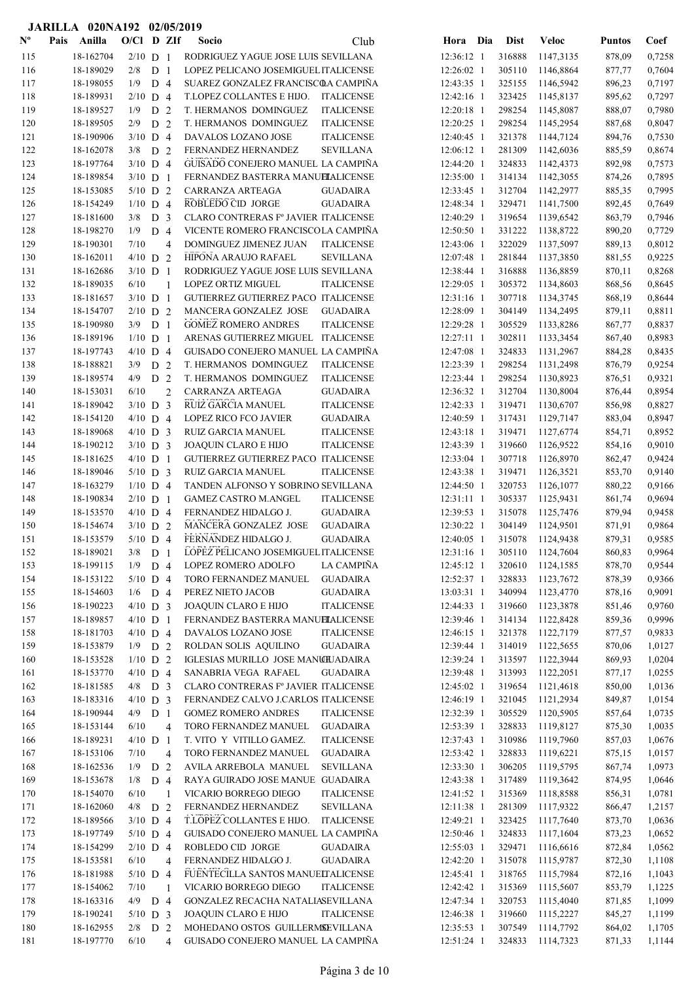|                           |      | JARILLA 020NA192 02/05/2019 |                          |                       |                |                                                                            |                                    |                          |     |                  |                        |                  |                  |
|---------------------------|------|-----------------------------|--------------------------|-----------------------|----------------|----------------------------------------------------------------------------|------------------------------------|--------------------------|-----|------------------|------------------------|------------------|------------------|
| $\mathbf{N}^{\mathbf{o}}$ | Pais | Anilla                      | $O/C1$ D ZIf             |                       |                | Socio                                                                      | Club                               | Hora                     | Dia | <b>Dist</b>      | <b>Veloc</b>           | <b>Puntos</b>    | Coef             |
| 115                       |      | 18-162704                   | $2/10$ D 1               |                       |                | RODRIGUEZ YAGUE JOSE LUIS SEVILLANA                                        |                                    | 12:36:12 1               |     | 316888           | 1147,3135              | 878,09           | 0,7258           |
| 116                       |      | 18-189029                   | 2/8                      | D <sub>1</sub>        |                | LOPEZ PELICANO JOSEMIGUEL ITALICENSE                                       |                                    | 12:26:02 1               |     | 305110           | 1146,8864              | 877,77           | 0,7604           |
| 117                       |      | 18-198055                   | 1/9                      | D <sub>4</sub>        |                | SUAREZ GONZALEZ FRANCISCOA CAMPIÑA                                         |                                    | 12:43:35 1               |     | 325155           | 1146,5942              | 896,23           | 0,7197           |
| 118                       |      | 18-189931                   | $2/10$ D 4               |                       |                | T.LOPEZ COLLANTES E HIJO.                                                  | ITALICENSE                         | 12:42:16 1               |     | 323425           | 1145,8137              | 895,62           | 0,7297           |
| 119                       |      | 18-189527                   | 1/9                      | D <sub>2</sub>        |                | T. HERMANOS DOMINGUEZ                                                      | <b>ITALICENSE</b>                  | 12:20:18 1               |     | 298254           | 1145,8087              | 888,07           | 0,7980           |
| 120                       |      | 18-189505                   | 2/9                      | D <sub>2</sub>        |                | T. HERMANOS DOMINGUEZ                                                      | <b>ITALICENSE</b>                  | 12:20:25 1               |     | 298254           | 1145,2954              | 887,68           | 0,8047           |
| 121                       |      | 18-190906                   | $3/10$ D 4               |                       |                | DAVALOS LOZANO JOSE                                                        | <b>ITALICENSE</b>                  | 12:40:45 1               |     | 321378           | 1144,7124              | 894,76           | 0,7530           |
| 122                       |      | 18-162078                   | 3/8                      | D <sub>2</sub>        |                | FERNANDEZ HERNANDEZ                                                        | <b>SEVILLANA</b>                   | $12:06:12$ 1             |     | 281309           | 1142,6036              | 885,59           | 0,8674           |
| 123                       |      | 18-197764                   | $3/10$ D 4               |                       |                | GUISADO CONEJERO MANUEL LA CAMPIÑA                                         |                                    | 12:44:20 1               |     | 324833           | 1142,4373              | 892,98           | 0,7573           |
| 124                       |      | 18-189854                   | $3/10$ D 1               |                       |                | FERNANDEZ BASTERRA MANUELALICENSE                                          |                                    | 12:35:00 1               |     | 314134           | 1142,3055              | 874,26           | 0,7895           |
| 125                       |      | 18-153085                   | $5/10$ D 2               |                       |                | CARRANZA ARTEAGA<br>ROBLEDO CID JORGE                                      | <b>GUADAIRA</b>                    | 12:33:45 1               |     | 312704           | 1142,2977              | 885,35           | 0,7995           |
| 126                       |      | 18-154249                   | $1/10$ D 4               | D <sub>3</sub>        |                |                                                                            | <b>GUADAIRA</b>                    | 12:48:34 1<br>12:40:29 1 |     | 329471           | 1141,7500              | 892,45           | 0,7649<br>0,7946 |
| 127<br>128                |      | 18-181600<br>18-198270      | 3/8<br>1/9               | D <sub>4</sub>        |                | CLARO CONTRERAS Fº JAVIER ITALICENSE<br>VICENTE ROMERO FRANCISCOLA CAMPIÑA |                                    | 12:50:50 1               |     | 319654<br>331222 | 1139,6542<br>1138,8722 | 863,79<br>890,20 | 0,7729           |
| 129                       |      | 18-190301                   | 7/10                     |                       | 4              | DOMINGUEZ JIMENEZ JUAN                                                     | <b>ITALICENSE</b>                  | 12:43:06 1               |     | 322029           | 1137,5097              | 889,13           | 0,8012           |
| 130                       |      | 18-162011                   | $4/10$ D 2               |                       |                | HIPONA ARAUJO RAFAEL                                                       | <b>SEVILLANA</b>                   | 12:07:48 1               |     | 281844           | 1137,3850              | 881,55           | 0,9225           |
| 131                       |      | 18-162686                   | $3/10$ D 1               |                       |                | RODRIGUEZ YAGUE JOSE LUIS SEVILLANA                                        |                                    | 12:38:44 1               |     | 316888           | 1136,8859              | 870,11           | 0,8268           |
| 132                       |      | 18-189035                   | 6/10                     |                       | $\mathbf{1}$   | <b>LOPEZ ORTIZ MIGUEL</b>                                                  | <b>ITALICENSE</b>                  | 12:29:05 1               |     | 305372           | 1134,8603              | 868,56           | 0,8645           |
| 133                       |      | 18-181657                   | $3/10$ D 1               |                       |                | GUTIERREZ GUTIERREZ PACO ITALICENSE                                        |                                    | $12:31:16$ 1             |     | 307718           | 1134,3745              | 868,19           | 0,8644           |
| 134                       |      | 18-154707                   | $2/10$ D 2               |                       |                | MANCERA GONZALEZ JOSE                                                      | <b>GUADAIRA</b>                    | 12:28:09 1               |     | 304149           | 1134,2495              | 879,11           | 0,8811           |
| 135                       |      | 18-190980                   | 3/9                      | D <sub>1</sub>        |                | <b>GOMEZ ROMERO ANDRES</b>                                                 | <b>ITALICENSE</b>                  | 12:29:28 1               |     | 305529           | 1133,8286              | 867,77           | 0,8837           |
| 136                       |      | 18-189196                   | $1/10$ D 1               |                       |                | ARENAS GUTIERREZ MIGUEL ITALICENSE                                         |                                    | 12:27:11 1               |     | 302811           | 1133,3454              | 867,40           | 0,8983           |
| 137                       |      | 18-197743                   | $4/10$ D 4               |                       |                | GUISADO CONEJERO MANUEL LA CAMPIÑA                                         |                                    | 12:47:08 1               |     | 324833           | 1131,2967              | 884,28           | 0,8435           |
| 138                       |      | 18-188821                   | 3/9                      | D 2                   |                | T. HERMANOS DOMINGUEZ                                                      | <b>ITALICENSE</b>                  | 12:23:39 1               |     | 298254           | 1131,2498              | 876,79           | 0,9254           |
| 139                       |      | 18-189574                   | 4/9                      | D <sub>2</sub>        |                | T. HERMANOS DOMINGUEZ                                                      | <b>ITALICENSE</b>                  | 12:23:44 1               |     | 298254           | 1130,8923              | 876,51           | 0,9321           |
| 140                       |      | 18-153031                   | 6/10                     |                       | $\overline{c}$ | CARRANZA ARTEAGA                                                           | <b>GUADAIRA</b>                    | 12:36:32 1               |     | 312704           | 1130,8004              | 876,44           | 0,8954           |
| 141                       |      | 18-189042                   | $3/10$ D 3               |                       |                | RUIZ GARCIA MANUEL                                                         | <b>ITALICENSE</b>                  | 12:42:33 1               |     | 319471           | 1130,6707              | 856,98           | 0,8827           |
| 142                       |      | 18-154120                   | $4/10$ D 4               |                       |                | LOPEZ RICO FCO JAVIER                                                      | <b>GUADAIRA</b>                    | 12:40:59 1               |     | 317431           | 1129,7147              | 883,04           | 0,8947           |
| 143                       |      | 18-189068                   | $4/10$ D 3               |                       |                | RUIZ GARCIA MANUEL                                                         | <b>ITALICENSE</b>                  | 12:43:18 1               |     | 319471           | 1127,6774              | 854,71           | 0,8952           |
| 144                       |      | 18-190212                   | $3/10$ D 3               |                       |                | JOAQUIN CLARO E HIJO                                                       | <b>ITALICENSE</b>                  | 12:43:39 1               |     | 319660           | 1126,9522              | 854,16           | 0,9010           |
| 145                       |      | 18-181625                   | $4/10$ D 1               |                       |                | GUTIERREZ GUTIERREZ PACO ITALICENSE                                        |                                    | 12:33:04 1               |     | 307718           | 1126,8970              | 862,47           | 0,9424           |
| 146                       |      | 18-189046                   | $5/10$ D 3               |                       |                | RUIZ GARCIA MANUEL                                                         | <b>ITALICENSE</b>                  | 12:43:38 1               |     | 319471           | 1126,3521              | 853,70           | 0,9140           |
| 147                       |      | 18-163279                   | $1/10$ D 4               |                       |                | TANDEN ALFONSO Y SOBRINO SEVILLANA                                         |                                    | 12:44:50 1               |     | 320753           | 1126,1077              | 880,22           | 0,9166           |
| 148                       |      | 18-190834                   | $2/10$ D 1               |                       |                | <b>GAMEZ CASTRO M.ANGEL</b>                                                | <b>ITALICENSE</b>                  | 12:31:11 1               |     | 305337           | 1125,9431              | 861,74           | 0,9694           |
| 149                       |      | 18-153570<br>18-154674      | $4/10$ D 4<br>$3/10$ D 2 |                       |                | FERNANDEZ HIDALGO J.<br>MANCERA GONZALEZ JOSE                              | <b>GUADAIRA</b><br><b>GUADAIRA</b> | 12:39:53 1<br>12:30:22 1 |     | 315078<br>304149 | 1125,7476<br>1124,9501 | 879,94<br>871,91 | 0,9458<br>0,9864 |
| 150<br>151                |      | 18-153579                   | $5/10$ D 4               |                       |                | FERNANDEZ HIDALGO J.                                                       | <b>GUADAIRA</b>                    | 12:40:05 1               |     | 315078           | 1124,9438              | 879,31           | 0,9585           |
| 152                       |      | 18-189021                   | 3/8                      | D <sub>1</sub>        |                | LOPEZ PELICANO JOSEMIGUEL ITALICENSE                                       |                                    | 12:31:16 1               |     | 305110           | 1124,7604              | 860,83           | 0,9964           |
| 153                       |      | 18-199115                   | 1/9                      | D 4                   |                | LOPEZ ROMERO ADOLFO                                                        | LA CAMPIÑA                         | 12:45:12 1               |     | 320610           | 1124,1585              | 878,70           | 0,9544           |
| 154                       |      | 18-153122                   | $5/10$ D 4               |                       |                | TORO FERNANDEZ MANUEL                                                      | <b>GUADAIRA</b>                    | 12:52:37 1               |     | 328833           | 1123,7672              | 878,39           | 0,9366           |
| 155                       |      | 18-154603                   | $1/6$ D 4                |                       |                | PEREZ NIETO JACOB                                                          | <b>GUADAIRA</b>                    | 13:03:31 1               |     | 340994           | 1123,4770              | 878,16           | 0,9091           |
| 156                       |      | 18-190223                   | $4/10$ D 3               |                       |                | JOAQUIN CLARO E HIJO                                                       | <b>ITALICENSE</b>                  | 12:44:33 1               |     | 319660           | 1123,3878              | 851,46           | 0,9760           |
| 157                       |      | 18-189857                   | $4/10$ D 1               |                       |                | FERNANDEZ BASTERRA MANUELALICENSE                                          |                                    | 12:39:46 1               |     | 314134           | 1122,8428              | 859,36           | 0,9996           |
| 158                       |      | 18-181703                   | $4/10$ D 4               |                       |                | DAVALOS LOZANO JOSE                                                        | <b>ITALICENSE</b>                  | 12:46:15 1               |     | 321378           | 1122,7179              | 877,57           | 0,9833           |
| 159                       |      | 18-153879                   | $1/9$ D 2                |                       |                | ROLDAN SOLIS AQUILINO                                                      | <b>GUADAIRA</b>                    | 12:39:44 1               |     | 314019           | 1122,5655              | 870,06           | 1,0127           |
| 160                       |      | 18-153528                   | $1/10$ D 2               |                       |                | IGLESIAS MURILLO JOSE MANCILLADAIRA                                        |                                    | 12:39:24 1               |     | 313597           | 1122,3944              | 869,93           | 1,0204           |
| 161                       |      | 18-153770                   | $4/10$ D 4               |                       |                | SANABRIA VEGA RAFAEL                                                       | GUADAIRA                           | 12:39:48 1               |     | 313993           | 1122,2051              | 877,17           | 1,0255           |
| 162                       |      | 18-181585                   | $4/8$ D 3                |                       |                | CLARO CONTRERAS Fº JAVIER ITALICENSE                                       |                                    | 12:45:02 1               |     | 319654           | 1121,4618              | 850,00           | 1,0136           |
| 163                       |      | 18-183316                   | $4/10$ D 3               |                       |                | FERNANDEZ CALVO J.CARLOS ITALICENSE                                        |                                    | 12:46:19 1               |     | 321045           | 1121,2934              | 849,87           | 1,0154           |
| 164                       |      | 18-190944                   | 4/9                      | D <sub>1</sub>        |                | <b>GOMEZ ROMERO ANDRES</b>                                                 | <b>ITALICENSE</b>                  | 12:32:39 1               |     | 305529           | 1120,5905              | 857,64           | 1,0735           |
| 165                       |      | 18-153144                   | 6/10                     |                       | 4              | TORO FERNANDEZ MANUEL                                                      | <b>GUADAIRA</b>                    | 12:53:39 1               |     | 328833           | 1119,8127              | 875,30           | 1,0035           |
| 166                       |      | 18-189231                   | $4/10$ D 1               |                       |                | T. VITO Y VITILLO GAMEZ.                                                   | <b>ITALICENSE</b>                  | 12:37:43 1               |     | 310986           | 1119,7960              | 857,03           | 1,0676           |
| 167                       |      | 18-153106                   | 7/10                     |                       | 4              | TORO FERNANDEZ MANUEL                                                      | <b>GUADAIRA</b>                    | 12:53:42 1               |     | 328833           | 1119,6221              | 875,15           | 1,0157           |
| 168                       |      | 18-162536<br>18-153678      | 1/9                      | D 2<br>D <sub>4</sub> |                | AVILA ARREBOLA MANUEL<br>RAYA GUIRADO JOSE MANUE GUADAIRA                  | <b>SEVILLANA</b>                   | 12:33:30 1<br>12:43:38 1 |     | 306205<br>317489 | 1119,5795<br>1119,3642 | 867,74           | 1,0973<br>1,0646 |
| 169<br>170                |      | 18-154070                   | 1/8<br>6/10              |                       | $\mathbf{1}$   | VICARIO BORREGO DIEGO                                                      | <b>ITALICENSE</b>                  | 12:41:52 1               |     | 315369           | 1118,8588              | 874,95<br>856,31 | 1,0781           |
| 171                       |      | 18-162060                   | 4/8                      | D <sub>2</sub>        |                | FERNANDEZ HERNANDEZ                                                        | SEVILLANA                          | 12:11:38 1               |     | 281309           | 1117,9322              | 866,47           | 1,2157           |
| 172                       |      | 18-189566                   | $3/10$ D 4               |                       |                | T.LOPEZ COLLANTES E HIJO.                                                  | <b>ITALICENSE</b>                  | 12:49:21 1               |     | 323425           | 1117,7640              | 873,70           | 1,0636           |
| 173                       |      | 18-197749                   | $5/10$ D 4               |                       |                | GUISADO CONEJERO MANUEL LA CAMPIÑA                                         |                                    | 12:50:46 1               |     | 324833           | 1117,1604              | 873,23           | 1,0652           |
| 174                       |      | 18-154299                   | $2/10$ D 4               |                       |                | ROBLEDO CID JORGE                                                          | <b>GUADAIRA</b>                    | 12:55:03 1               |     | 329471           | 1116,6616              | 872,84           | 1,0562           |
| 175                       |      | 18-153581                   | 6/10                     |                       | 4              | FERNANDEZ HIDALGO J.                                                       | <b>GUADAIRA</b>                    | 12:42:20 1               |     | 315078           | 1115,9787              | 872,30           | 1,1108           |
| 176                       |      | 18-181988                   | $5/10$ D 4               |                       |                | FUENTECILLA SANTOS MANUELTALICENSE                                         |                                    | 12:45:41 1               |     | 318765           | 1115,7984              | 872,16           | 1,1043           |
| 177                       |      | 18-154062                   | 7/10                     |                       | 1              | VICARIO BORREGO DIEGO                                                      | <b>ITALICENSE</b>                  | 12:42:42 1               |     | 315369           | 1115,5607              | 853,79           | 1,1225           |
| 178                       |      | 18-163316                   | $4/9$ D 4                |                       |                | GONZALEZ RECACHA NATALIASEVILLANA                                          |                                    | 12:47:34 1               |     | 320753           | 1115,4040              | 871,85           | 1,1099           |
| 179                       |      | 18-190241                   | $5/10$ D 3               |                       |                | JOAQUIN CLARO E HIJO                                                       | <b>ITALICENSE</b>                  | 12:46:38 1               |     | 319660           | 1115,2227              | 845,27           | 1,1199           |
| 180                       |      | 18-162955                   | $2/8$ D 2                |                       |                | MOHEDANO OSTOS GUILLERMSEVILLANA                                           |                                    | 12:35:53 1               |     | 307549           | 1114,7792              | 864,02           | 1,1705           |
| 181                       |      | 18-197770                   | 6/10                     |                       | $\overline{4}$ | GUISADO CONEJERO MANUEL LA CAMPIÑA                                         |                                    | 12:51:24 1               |     | 324833           | 1114,7323              | 871,33           | 1,1144           |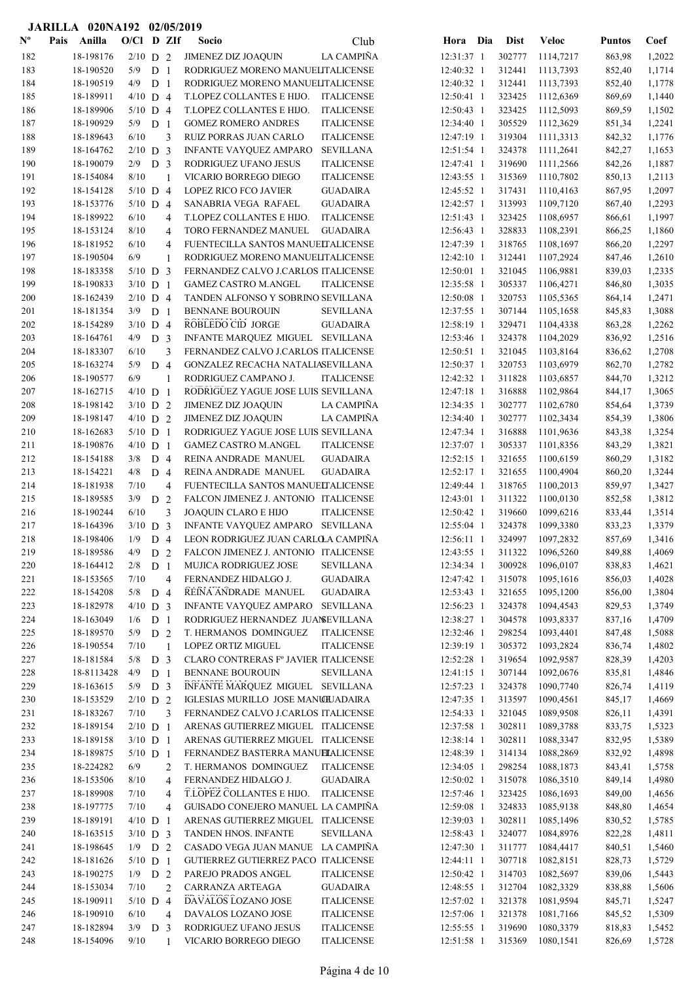|                           | JARILLA 020NA192 02/05/2019 |              |                |                |                                                               |                   |                          |                  |                        |                  |                  |
|---------------------------|-----------------------------|--------------|----------------|----------------|---------------------------------------------------------------|-------------------|--------------------------|------------------|------------------------|------------------|------------------|
| $\mathbf{N}^{\mathbf{o}}$ | Anilla<br>Pais              | $O/Cl$ D ZIf |                |                | Socio                                                         | Club              | Hora Dia                 | <b>Dist</b>      | Veloc                  | <b>Puntos</b>    | Coef             |
| 182                       | 18-198176                   | $2/10$ D 2   |                |                | <b>JIMENEZ DIZ JOAQUIN</b>                                    | LA CAMPIÑA        | 12:31:37 1               | 302777           | 1114,7217              | 863,98           | 1,2022           |
| 183                       | 18-190520                   | 5/9          | D <sub>1</sub> |                | RODRIGUEZ MORENO MANUELITALICENSE                             |                   | 12:40:32 1               | 312441           | 1113,7393              | 852,40           | 1,1714           |
| 184                       | 18-190519                   | 4/9          | D <sub>1</sub> |                | RODRIGUEZ MORENO MANUELITALICENSE                             |                   | 12:40:32 1               | 312441           | 1113,7393              | 852,40           | 1,1778           |
| 185                       | 18-189911                   | $4/10$ D 4   |                |                | T.LOPEZ COLLANTES E HIJO.                                     | <b>ITALICENSE</b> | 12:50:41 1               | 323425           | 1112,6369              | 869,69           | 1,1440           |
| 186                       | 18-189906                   | $5/10$ D 4   |                |                | T.LOPEZ COLLANTES E HIJO.                                     | <b>ITALICENSE</b> | 12:50:43 1               | 323425           | 1112,5093              | 869,59           | 1,1502           |
| 187                       | 18-190929                   | 5/9          | D <sub>1</sub> |                | <b>GOMEZ ROMERO ANDRES</b>                                    | <b>ITALICENSE</b> | 12:34:40 1               | 305529           | 1112,3629              | 851,34           | 1,2241           |
| 188                       | 18-189643                   | 6/10         |                | 3              | RUIZ PORRAS JUAN CARLO                                        | <b>ITALICENSE</b> | 12:47:19 1               | 319304           | 1111,3313              | 842,32           | 1,1776           |
| 189                       | 18-164762                   | $2/10$ D 3   |                |                | INFANTE VAYQUEZ AMPARO                                        | <b>SEVILLANA</b>  | 12:51:54 1               | 324378           | 1111,2641              | 842,27           | 1,1653           |
| 190                       | 18-190079                   | 2/9          | D <sub>3</sub> |                | RODRIGUEZ UFANO JESUS                                         | <b>ITALICENSE</b> | 12:47:41 1               | 319690           | 1111,2566              | 842,26           | 1,1887           |
| 191                       | 18-154084                   | 8/10         |                | 1              | VICARIO BORREGO DIEGO                                         | <b>ITALICENSE</b> | 12:43:55 1               | 315369           | 1110,7802              | 850,13           | 1,2113           |
| 192                       | 18-154128                   | $5/10$ D 4   |                |                | LOPEZ RICO FCO JAVIER                                         | <b>GUADAIRA</b>   | 12:45:52 1               | 317431           | 1110,4163              | 867,95           | 1,2097           |
| 193                       | 18-153776                   | $5/10$ D 4   |                |                | SANABRIA VEGA RAFAEL                                          | <b>GUADAIRA</b>   | 12:42:57 1               | 313993           | 1109,7120              | 867,40           | 1,2293           |
| 194                       | 18-189922                   | 6/10         |                | 4              | T.LOPEZ COLLANTES E HIJO.                                     | <b>ITALICENSE</b> | 12:51:43 1               | 323425           | 1108,6957              | 866,61           | 1,1997           |
| 195                       | 18-153124                   | 8/10         |                | 4              | TORO FERNANDEZ MANUEL                                         | <b>GUADAIRA</b>   | 12:56:43 1               | 328833           | 1108,2391              | 866,25           | 1,1860           |
| 196                       | 18-181952                   | 6/10         |                | 4              | FUENTECILLA SANTOS MANUELTALICENSE                            |                   | 12:47:39 1               | 318765           | 1108,1697              | 866,20           | 1,2297           |
| 197                       | 18-190504                   | 6/9          |                | 1              | RODRIGUEZ MORENO MANUELITALICENSE                             |                   | $12:42:10$ 1             | 312441           | 1107,2924              | 847,46           | 1,2610           |
| 198                       | 18-183358                   | $5/10$ D 3   |                |                | FERNANDEZ CALVO J.CARLOS ITALICENSE                           |                   | 12:50:01 1               | 321045           | 1106,9881              | 839,03           | 1,2335           |
| 199                       | 18-190833                   | $3/10$ D 1   |                |                | <b>GAMEZ CASTRO M.ANGEL</b>                                   | <b>ITALICENSE</b> | 12:35:58 1               | 305337           | 1106,4271              | 846,80           | 1,3035           |
| 200                       | 18-162439                   | $2/10$ D 4   |                |                | TANDEN ALFONSO Y SOBRINO SEVILLANA                            |                   | $12:50:08$ 1             | 320753           | 1105,5365              | 864,14           | 1,2471           |
| 201                       | 18-181354                   | $3/9$ D 1    |                |                | <b>BENNANE BOUROUIN</b>                                       | <b>SEVILLANA</b>  | 12:37:55 1               | 307144           | 1105,1658              | 845,83           | 1,3088           |
| 202                       | 18-154289                   | $3/10$ D 4   |                |                | ROBLEDO CID JORGE                                             | <b>GUADAIRA</b>   | 12:58:19 1               | 329471           | 1104,4338              | 863,28           | 1,2262           |
| 203                       | 18-164761                   | 4/9          | D <sub>3</sub> |                | INFANTE MARQUEZ MIGUEL SEVILLANA                              |                   | 12:53:46 1               | 324378           | 1104,2029              | 836,92           | 1,2516           |
| 204                       | 18-183307                   | 6/10         |                | 3              | FERNANDEZ CALVO J.CARLOS ITALICENSE                           |                   | 12:50:51 1               | 321045           | 1103,8164              | 836,62           | 1,2708           |
| 205                       | 18-163274                   | 5/9          | D 4            |                | GONZALEZ RECACHA NATALIASEVILLANA                             |                   | 12:50:37 1               | 320753           | 1103,6979              | 862,70           | 1,2782           |
| 206                       | 18-190577                   | 6/9          |                | 1              | RODRIGUEZ CAMPANO J.                                          | <b>ITALICENSE</b> | 12:42:32 1               | 311828           | 1103,6857              | 844,70           | 1,3212           |
| 207                       | 18-162715                   | $4/10$ D 1   |                |                | RODRIGUEZ YAGUE JOSE LUIS SEVILLANA                           |                   | 12:47:18 1               | 316888           | 1102,9864              | 844,17           | 1,3065           |
| 208                       | 18-198142                   | $3/10$ D 2   |                |                | <b>JIMENEZ DIZ JOAQUIN</b>                                    | LA CAMPIÑA        | 12:34:35 1               | 302777           | 1102,6780              | 854,64           | 1,3739           |
| 209                       | 18-198147                   | $4/10$ D 2   |                |                | <b>JIMENEZ DIZ JOAQUIN</b>                                    | LA CAMPIÑA        | 12:34:40 1               | 302777           | 1102,3434              | 854,39           | 1,3806           |
| 210                       | 18-162683                   | $5/10$ D 1   |                |                | RODRIGUEZ YAGUE JOSE LUIS SEVILLANA                           |                   | 12:47:34 1               | 316888           | 1101,9636              | 843,38           | 1,3254           |
| 211                       | 18-190876                   | $4/10$ D 1   |                |                | <b>GAMEZ CASTRO M.ANGEL</b>                                   | <b>ITALICENSE</b> | 12:37:07 1               | 305337           | 1101,8356              | 843,29           | 1,3821           |
| 212                       | 18-154188                   | 3/8          | D <sub>4</sub> |                | REINA ANDRADE MANUEL                                          | <b>GUADAIRA</b>   | $12:52:15$ 1             | 321655           | 1100,6159              | 860,29           | 1,3182           |
| 213                       | 18-154221                   | 4/8          | D 4            |                | REINA ANDRADE MANUEL                                          | <b>GUADAIRA</b>   | $12:52:17$ 1             | 321655           | 1100,4904              | 860,20           | 1,3244           |
| 214                       | 18-181938                   | 7/10         |                | 4              | FUENTECILLA SANTOS MANUELTALICENSE                            |                   | 12:49:44 1               | 318765           | 1100,2013              | 859,97           | 1,3427           |
| 215                       | 18-189585                   | 3/9          | D <sub>2</sub> |                | FALCON JIMENEZ J. ANTONIO ITALICENSE                          |                   | $12:43:01$ 1             | 311322           | 1100,0130              | 852,58           | 1,3812           |
| 216                       | 18-190244                   | $6/10$       |                | 3              | <b>JOAQUIN CLARO E HIJO</b>                                   | <b>ITALICENSE</b> | 12:50:42 1               | 319660           | 1099,6216              | 833,44           | 1,3514           |
| 217                       | 18-164396                   | $3/10$ D 3   |                |                | INFANTE VAYQUEZ AMPARO SEVILLANA                              |                   | 12:55:04 1               | 324378<br>324997 | 1099,3380              | 833,23           | 1,3379           |
| 218<br>219                | 18-198406                   | 1/9          | D <sub>4</sub> |                | LEON RODRIGUEZ JUAN CARLO A CAMPIÑA                           |                   | 12:56:11 1<br>12:43:55 1 | 311322           | 1097,2832<br>1096,5260 | 857,69           | 1,3416           |
| 220                       | 18-189586<br>18-164412      | 4/9          | D <sub>2</sub> |                | FALCON JIMENEZ J. ANTONIO ITALICENSE<br>MUJICA RODRIGUEZ JOSE | <b>SEVILLANA</b>  | 12:34:34 1               | 300928           | 1096,0107              | 849,88           | 1,4069           |
| 221                       | 18-153565                   | 2/8<br>7/10  | D <sub>1</sub> | $\overline{4}$ | FERNANDEZ HIDALGO J.                                          | <b>GUADAIRA</b>   | 12:47:42 1               | 315078           | 1095,1616              | 838,83<br>856,03 | 1,4621<br>1,4028 |
| 222                       | 18-154208                   | $5/8$ D 4    |                |                | REINA ANDRADE MANUEL                                          | <b>GUADAIRA</b>   | 12:53:43 1               | 321655           | 1095,1200              | 856,00           | 1,3804           |
| 223                       | 18-182978                   | $4/10$ D 3   |                |                | <b>INFANTE VAYQUEZ AMPARO</b>                                 | <b>SEVILLANA</b>  | 12:56:23 1               | 324378           | 1094,4543              | 829,53           | 1,3749           |
| 224                       | 18-163049                   | 1/6          | D <sub>1</sub> |                | RODRIGUEZ HERNANDEZ JUANEVILLANA                              |                   | 12:38:27 1               | 304578           | 1093,8337              | 837,16           | 1,4709           |
| 225                       | 18-189570                   | 5/9          | D 2            |                | T. HERMANOS DOMINGUEZ                                         | <b>ITALICENSE</b> | 12:32:46 1               | 298254           | 1093,4401              | 847,48           | 1,5088           |
| 226                       | 18-190554                   | 7/10         |                | 1              | LOPEZ ORTIZ MIGUEL                                            | <b>ITALICENSE</b> | 12:39:19 1               | 305372           | 1093,2824              | 836,74           | 1,4802           |
| 227                       | 18-181584                   | 5/8          | D <sub>3</sub> |                | CLARO CONTRERAS Fº JAVIER ITALICENSE                          |                   | 12:52:28 1               | 319654           | 1092,9587              | 828,39           | 1,4203           |
| 228                       | 18-8113428                  | 4/9          | D <sub>1</sub> |                | BENNANE BOUROUIN                                              | <b>SEVILLANA</b>  | 12:41:15 1               | 307144           | 1092,0676              | 835,81           | 1,4846           |
| 229                       | 18-163615                   | $5/9$ D 3    |                |                | INFANTE MARQUEZ MIGUEL SEVILLANA                              |                   | 12:57:23 1               | 324378           | 1090,7740              | 826,74           | 1,4119           |
| 230                       | 18-153529                   | $2/10$ D 2   |                |                | IGLESIAS MURILLO JOSE MANUILADAIRA                            |                   | 12:47:35 1               | 313597           | 1090,4561              | 845,17           | 1,4669           |
| 231                       | 18-183267                   | 7/10         |                | 3              | FERNANDEZ CALVO J.CARLOS ITALICENSE                           |                   | 12:54:33 1               | 321045           | 1089,9508              | 826,11           | 1,4391           |
| 232                       | 18-189154                   | $2/10$ D 1   |                |                | ARENAS GUTIERREZ MIGUEL ITALICENSE                            |                   | 12:37:58 1               | 302811           | 1089,3788              | 833,75           | 1,5323           |
| 233                       | 18-189158                   | $3/10$ D 1   |                |                | ARENAS GUTIERREZ MIGUEL ITALICENSE                            |                   | 12:38:14 1               | 302811           | 1088,3347              | 832,95           | 1,5389           |
| 234                       | 18-189875                   | $5/10$ D 1   |                |                | FERNANDEZ BASTERRA MANUELALICENSE                             |                   | 12:48:39 1               | 314134           | 1088,2869              | 832,92           | 1,4898           |
| 235                       | 18-224282                   | 6/9          |                | 2              | T. HERMANOS DOMINGUEZ                                         | <b>ITALICENSE</b> | 12:34:05 1               | 298254           | 1088,1873              | 843,41           | 1,5758           |
| 236                       | 18-153506                   | 8/10         |                | 4              | FERNANDEZ HIDALGO J.                                          | <b>GUADAIRA</b>   | 12:50:02 1               | 315078           | 1086,3510              | 849,14           | 1,4980           |
| 237                       | 18-189908                   | 7/10         |                | 4              | T.LOPEZ COLLANTES E HIJO.                                     | <b>ITALICENSE</b> | 12:57:46 1               | 323425           | 1086,1693              | 849,00           | 1,4656           |
| 238                       | 18-197775                   | 7/10         |                | 4              | GUISADO CONEJERO MANUEL LA CAMPIÑA                            |                   | 12:59:08 1               | 324833           | 1085,9138              | 848,80           | 1,4654           |
| 239                       | 18-189191                   | $4/10$ D 1   |                |                | ARENAS GUTIERREZ MIGUEL ITALICENSE                            |                   | 12:39:03 1               | 302811           | 1085,1496              | 830,52           | 1,5785           |
| 240                       | 18-163515                   | $3/10$ D 3   |                |                | TANDEN HNOS. INFANTE                                          | <b>SEVILLANA</b>  | 12:58:43 1               | 324077           | 1084,8976              | 822,28           | 1,4811           |
| 241                       | 18-198645                   | $1/9$ D $2$  |                |                | CASADO VEGA JUAN MANUE LA CAMPIÑA                             |                   | 12:47:30 1               | 311777           | 1084,4417              | 840,51           | 1,5460           |
| 242                       | 18-181626                   | $5/10$ D 1   |                |                | GUTIERREZ GUTIERREZ PACO ITALICENSE                           |                   | 12:44:11 1               | 307718           | 1082,8151              | 828,73           | 1,5729           |
| 243                       | 18-190275                   | $1/9$ D 2    |                |                | PAREJO PRADOS ANGEL                                           | <b>ITALICENSE</b> | 12:50:42 1               | 314703           | 1082,5697              | 839,06           | 1,5443           |
| 244                       | 18-153034                   | 7/10         |                | 2              | CARRANZA ARTEAGA                                              | <b>GUADAIRA</b>   | 12:48:55 1               | 312704           | 1082,3329              | 838,88           | 1,5606           |
| 245                       | 18-190911                   | $5/10$ D 4   |                |                | DAVALOS LOZANO JOSE                                           | <b>ITALICENSE</b> | 12:57:02 1               | 321378           | 1081,9594              | 845,71           | 1,5247           |
| 246                       | 18-190910                   | 6/10         |                | $\overline{4}$ | DAVALOS LOZANO JOSE                                           | <b>ITALICENSE</b> | 12:57:06 1               | 321378           | 1081,7166              | 845,52           | 1,5309           |
| 247                       | 18-182894                   | $3/9$ D 3    |                |                | RODRIGUEZ UFANO JESUS                                         | <b>ITALICENSE</b> | 12:55:55 1               | 319690           | 1080,3379              | 818,83           | 1,5452           |
| 248                       | 18-154096                   | 9/10         |                | $\overline{1}$ | VICARIO BORREGO DIEGO                                         | <b>ITALICENSE</b> | 12:51:58 1               | 315369           | 1080,1541              | 826,69           | 1,5728           |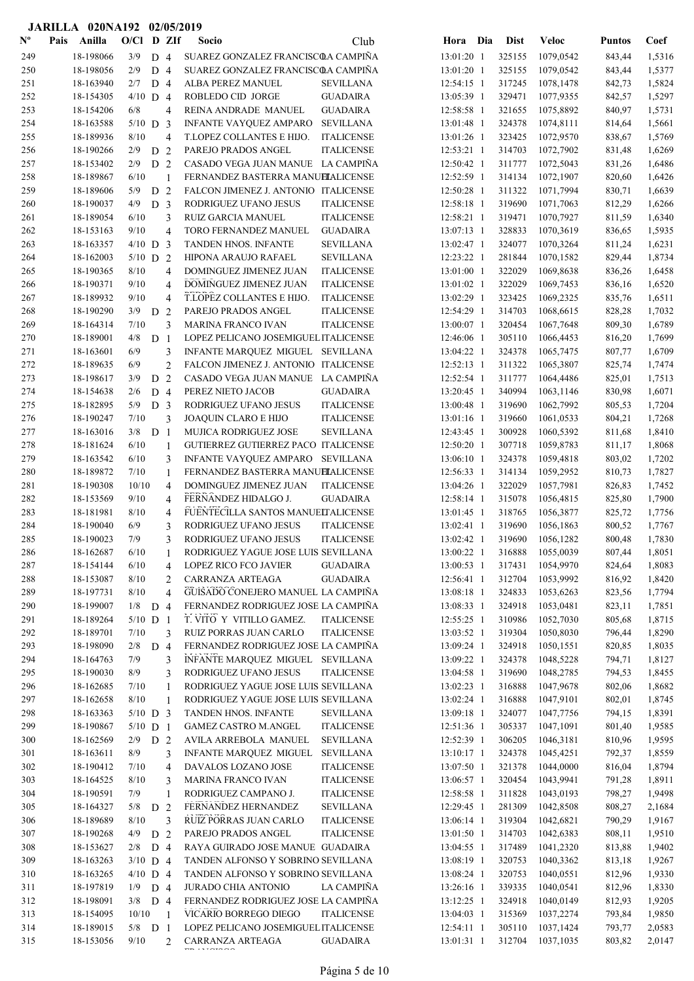|                           |      | JARILLA 020NA192 02/05/2019 |              |                |                |                                           |                                        |                          |     |                  |                        |                  |                  |
|---------------------------|------|-----------------------------|--------------|----------------|----------------|-------------------------------------------|----------------------------------------|--------------------------|-----|------------------|------------------------|------------------|------------------|
| $\mathbf{N}^{\mathbf{o}}$ | Pais | Anilla                      | $O/C1$ D ZIf |                |                | Socio                                     | Club                                   | Hora                     | Dia | <b>Dist</b>      | <b>Veloc</b>           | <b>Puntos</b>    | Coef             |
| 249                       |      | 18-198066                   | 3/9          | D <sub>4</sub> |                | SUAREZ GONZALEZ FRANCISCOA CAMPIÑA        |                                        | 13:01:20 1               |     | 325155           | 1079,0542              | 843,44           | 1,5316           |
| 250                       |      | 18-198056                   | 2/9          | D 4            |                | SUAREZ GONZALEZ FRANCISCOA CAMPIÑA        |                                        | 13:01:20 1               |     | 325155           | 1079,0542              | 843,44           | 1,5377           |
| 251                       |      | 18-163940                   | 2/7          | D <sub>4</sub> |                | ALBA PEREZ MANUEL                         | <b>SEVILLANA</b>                       | 12:54:15 1               |     | 317245           | 1078,1478              | 842,73           | 1,5824           |
| 252                       |      | 18-154305                   | $4/10$ D 4   |                |                | ROBLEDO CID JORGE                         | <b>GUADAIRA</b>                        | 13:05:39 1               |     | 329471           | 1077,9355              | 842,57           | 1,5297           |
| 253                       |      | 18-154206                   | 6/8          |                | $\overline{4}$ | REINA ANDRADE MANUEL                      | <b>GUADAIRA</b>                        | 12:58:58 1               |     | 321655           | 1075,8892              | 840,97           | 1,5731           |
| 254                       |      | 18-163588                   | $5/10$ D 3   |                |                | INFANTE VAYQUEZ AMPARO                    | <b>SEVILLANA</b>                       | 13:01:48 1               |     | 324378           | 1074,8111              | 814,64           | 1,5661           |
| 255                       |      | 18-189936                   | 8/10         |                | 4              | T.LOPEZ COLLANTES E HIJO.                 | <b>ITALICENSE</b>                      | 13:01:26 1               |     | 323425           | 1072,9570              | 838,67           | 1,5769           |
| 256                       |      | 18-190266                   | 2/9          | D              | 2              | PAREJO PRADOS ANGEL                       | <b>ITALICENSE</b>                      | 12:53:21 1               |     | 314703           | 1072,7902              | 831,48           | 1,6269           |
| 257                       |      | 18-153402                   | 2/9          | D <sub>2</sub> |                | CASADO VEGA JUAN MANUE LA CAMPIÑA         |                                        | 12:50:42 1               |     | 311777           | 1072,5043              | 831,26           | 1,6486           |
| 258                       |      | 18-189867                   | 6/10         |                | 1              | FERNANDEZ BASTERRA MANUELALICENSE         |                                        | 12:52:59 1               |     | 314134           | 1072,1907              | 820,60           | 1,6426           |
| 259                       |      | 18-189606                   | 5/9          | D <sub>2</sub> |                | FALCON JIMENEZ J. ANTONIO ITALICENSE      |                                        | 12:50:28 1               |     | 311322           | 1071,7994              | 830,71           | 1,6639           |
| 260                       |      | 18-190037                   | 4/9          | D <sub>3</sub> |                | RODRIGUEZ UFANO JESUS                     | <b>ITALICENSE</b>                      | 12:58:18 1               |     | 319690           | 1071,7063              | 812,29           | 1,6266           |
| 261                       |      | 18-189054                   | 6/10         |                | 3              | <b>RUIZ GARCIA MANUEL</b>                 | <b>ITALICENSE</b>                      | $12:58:21$ 1             |     | 319471           | 1070,7927              | 811,59           | 1,6340           |
| 262                       |      | 18-153163                   | 9/10         |                | 4              | TORO FERNANDEZ MANUEL                     | <b>GUADAIRA</b>                        | 13:07:13 1               |     | 328833           | 1070,3619              | 836,65           | 1,5935           |
| 263                       |      | 18-163357                   | $4/10$ D     |                | 3              | TANDEN HNOS. INFANTE                      | <b>SEVILLANA</b>                       | 13:02:47 1               |     | 324077           | 1070,3264              | 811,24           | 1,6231           |
| 264                       |      | 18-162003                   | $5/10$ D 2   |                |                | HIPONA ARAUJO RAFAEL                      | <b>SEVILLANA</b>                       | 12:23:22 1               |     | 281844           | 1070,1582              | 829,44           | 1,8734           |
| 265                       |      | 18-190365                   | 8/10         |                | $\overline{4}$ | DOMINGUEZ JIMENEZ JUAN                    | <b>ITALICENSE</b>                      | 13:01:00 1               |     | 322029           | 1069,8638              | 836,26           | 1,6458           |
| 266                       |      | 18-190371                   | 9/10         |                | 4              | DOMINGUEZ JIMENEZ JUAN                    | <b>ITALICENSE</b>                      | 13:01:02 1               |     | 322029           | 1069,7453              | 836,16           | 1,6520           |
| 267                       |      | 18-189932<br>18-190290      | 9/10<br>3/9  |                | 4              | T.LOPEZ COLLANTES E HIJO.                 | <b>ITALICENSE</b>                      | 13:02:29 1               |     | 323425<br>314703 | 1069,2325              | 835,76           | 1,6511<br>1,7032 |
| 268<br>269                |      | 18-164314                   | 7/10         | D              | 2<br>3         | PAREJO PRADOS ANGEL<br>MARINA FRANCO IVAN | <b>ITALICENSE</b><br><b>ITALICENSE</b> | 12:54:29 1<br>13:00:07 1 |     | 320454           | 1068,6615<br>1067,7648 | 828,28<br>809,30 | 1,6789           |
| 270                       |      | 18-189001                   | 4/8          | D <sub>1</sub> |                | LOPEZ PELICANO JOSEMIGUEL ITALICENSE      |                                        | 12:46:06 1               |     | 305110           | 1066,4453              | 816,20           | 1,7699           |
| 271                       |      | 18-163601                   | 6/9          |                | 3              | INFANTE MARQUEZ MIGUEL SEVILLANA          |                                        | 13:04:22 1               |     | 324378           | 1065,7475              | 807,77           | 1,6709           |
| 272                       |      | 18-189635                   | 6/9          |                | $\overline{2}$ | FALCON JIMENEZ J. ANTONIO ITALICENSE      |                                        | 12:52:13 1               |     | 311322           | 1065,3807              | 825,74           | 1,7474           |
| 273                       |      | 18-198617                   | 3/9          | D <sub>2</sub> |                | CASADO VEGA JUAN MANUE LA CAMPIÑA         |                                        | 12:52:54 1               |     | 311777           | 1064,4486              | 825,01           | 1,7513           |
| 274                       |      | 18-154638                   | 2/6          | D 4            |                | PEREZ NIETO JACOB                         | <b>GUADAIRA</b>                        | 13:20:45 1               |     | 340994           | 1063,1146              | 830,98           | 1,6071           |
| 275                       |      | 18-182895                   | 5/9          | D              | $\overline{3}$ | RODRIGUEZ UFANO JESUS                     | <b>ITALICENSE</b>                      | 13:00:48 1               |     | 319690           | 1062,7992              | 805,53           | 1,7204           |
| 276                       |      | 18-190247                   | 7/10         |                | 3              | JOAQUIN CLARO E HIJO                      | <b>ITALICENSE</b>                      | 13:01:16 1               |     | 319660           | 1061,0533              | 804,21           | 1,7268           |
| 277                       |      | 18-163016                   | 3/8          | D <sub>1</sub> |                | MUJICA RODRIGUEZ JOSE                     | <b>SEVILLANA</b>                       | 12:43:45 1               |     | 300928           | 1060,5392              | 811,68           | 1,8410           |
| 278                       |      | 18-181624                   | 6/10         |                | $\mathbf{1}$   | GUTIERREZ GUTIERREZ PACO ITALICENSE       |                                        | 12:50:20 1               |     | 307718           | 1059,8783              | 811,17           | 1,8068           |
| 279                       |      | 18-163542                   | 6/10         |                | 3              | INFANTE VAYQUEZ AMPARO SEVILLANA          |                                        | 13:06:10 1               |     | 324378           | 1059,4818              | 803,02           | 1,7202           |
| 280                       |      | 18-189872                   | 7/10         |                | $\mathbf{1}$   | FERNANDEZ BASTERRA MANUELALICENSE         |                                        | 12:56:33 1               |     | 314134           | 1059,2952              | 810,73           | 1,7827           |
| 281                       |      | 18-190308                   | 10/10        |                | 4              | DOMINGUEZ JIMENEZ JUAN                    | <b>ITALICENSE</b>                      | 13:04:26 1               |     | 322029           | 1057,7981              | 826,83           | 1,7452           |
| 282                       |      | 18-153569                   | 9/10         |                | 4              | FERNANDEZ HIDALGO J.                      | <b>GUADAIRA</b>                        | 12:58:14 1               |     | 315078           | 1056,4815              | 825,80           | 1,7900           |
| 283                       |      | 18-181981                   | 8/10         |                | 4              | FUENTECILLA SANTOS MANUELTALICENSE        |                                        | 13:01:45 1               |     | 318765           | 1056,3877              | 825,72           | 1,7756           |
| 284                       |      | 18-190040                   | 6/9          |                | 3              | RODRIGUEZ UFANO JESUS                     | <b>ITALICENSE</b>                      | 13:02:41 1               |     | 319690           | 1056,1863              | 800,52           | 1,7767           |
| 285                       |      | 18-190023                   | 7/9          |                | 3              | RODRIGUEZ UFANO JESUS                     | <b>ITALICENSE</b>                      | 13:02:42 1               |     | 319690           | 1056,1282              | 800,48           | 1,7830           |
| 286                       |      | 18-162687                   | 6/10         |                | 1              | RODRIGUEZ YAGUE JOSE LUIS SEVILLANA       |                                        | 13:00:22 1               |     | 316888           | 1055,0039              | 807,44           | 1,8051           |
| 287                       |      | 18-154144                   | 6/10         |                | 4              | <b>LOPEZ RICO FCO JAVIER</b>              | <b>GUADAIRA</b>                        | 13:00:53 1               |     | 317431           | 1054,9970              | 824,64           | 1,8083           |
| 288                       |      | 18-153087                   | 8/10         |                | 2              | CARRANZA ARTEAGA                          | <b>GUADAIRA</b>                        | 12:56:41 1               |     | 312704           | 1053,9992              | 816,92           | 1,8420           |
| 289                       |      | 18-197731                   | 8/10         |                | $\overline{4}$ | GUISADO CONEJERO MANUEL LA CAMPIÑA        |                                        | 13:08:18 1               |     | 324833           | 1053,6263              | 823,56           | 1,7794           |
| 290                       |      | 18-199007                   | $1/8$ D 4    |                |                | FERNANDEZ RODRIGUEZ JOSE LA CAMPIÑA       |                                        | 13:08:33 1               |     | 324918           | 1053,0481              | 823,11           | 1,7851           |
| 291                       |      | 18-189264                   | $5/10$ D 1   |                |                | T. VITO Y VITILLO GAMEZ.                  | <b>ITALICENSE</b>                      | 12:55:25 1               |     | 310986           | 1052,7030              | 805,68           | 1,8715           |
| 292                       |      | 18-189701                   | 7/10         |                | 3              | RUIZ PORRAS JUAN CARLO                    | <b>ITALICENSE</b>                      | 13:03:52 1               |     | 319304           | 1050,8030              | 796,44           | 1,8290           |
| 293                       |      | 18-198090                   | 2/8          | D 4            |                | FERNANDEZ RODRIGUEZ JOSE LA CAMPIÑA       |                                        | 13:09:24 1               |     | 324918           | 1050,1551              | 820,85           | 1,8035           |
| 294                       |      | 18-164763                   | 7/9          |                | 3              | INFANTE MARQUEZ MIGUEL SEVILLANA          |                                        | 13:09:22 1               |     | 324378           | 1048,5228              | 794,71           | 1,8127           |
| 295                       |      | 18-190030                   | 8/9          |                | 3              | RODRIGUEZ UFANO JESUS                     | <b>ITALICENSE</b>                      | 13:04:58 1               |     | 319690           | 1048,2785              | 794,53           | 1,8455           |
| 296                       |      | 18-162685                   | 7/10         |                | 1              | RODRIGUEZ YAGUE JOSE LUIS SEVILLANA       |                                        | 13:02:23 1               |     | 316888           | 1047,9678              | 802,06           | 1,8682           |
| 297                       |      | 18-162658                   | 8/10         |                | 1              | RODRIGUEZ YAGUE JOSE LUIS SEVILLANA       |                                        | 13:02:24 1               |     | 316888           | 1047,9101              | 802,01           | 1,8745           |
| 298                       |      | 18-163363                   | $5/10$ D 3   |                |                | TANDEN HNOS. INFANTE                      | <b>SEVILLANA</b>                       | 13:09:18 1               |     | 324077           | 1047,7756              | 794,15           | 1,8391           |
| 299                       |      | 18-190867                   | $5/10$ D 1   |                |                | GAMEZ CASTRO M.ANGEL                      | <b>ITALICENSE</b>                      | 12:51:36 1               |     | 305337           | 1047,1091              | 801,40           | 1,9585           |
| 300                       |      | 18-162569                   | 2/9          | D <sub>2</sub> |                | AVILA ARREBOLA MANUEL                     | <b>SEVILLANA</b>                       | 12:52:39 1               |     | 306205           | 1046,3181              | 810,96           | 1,9595           |
| 301                       |      | 18-163611                   | $8/9$        |                | 3              | INFANTE MARQUEZ MIGUEL SEVILLANA          |                                        | 13:10:17 1               |     | 324378           | 1045,4251              | 792,37           | 1,8559           |
| 302                       |      | 18-190412                   | 7/10         |                | 4              | DAVALOS LOZANO JOSE                       | <b>ITALICENSE</b>                      | 13:07:50 1               |     | 321378           | 1044,0000              | 816,04           | 1,8794           |
| 303                       |      | 18-164525                   | 8/10         |                | 3              | MARINA FRANCO IVAN                        | <b>ITALICENSE</b>                      | 13:06:57 1               |     | 320454           | 1043,9941              | 791,28           | 1,8911           |
| 304                       |      | 18-190591                   | 7/9          |                | $\mathbf{1}$   | RODRIGUEZ CAMPANO J.                      | <b>ITALICENSE</b>                      | 12:58:58 1               |     | 311828           | 1043,0193              | 798,27           | 1,9498           |
| 305                       |      | 18-164327                   | 5/8          | D 2            |                | FERNANDEZ HERNANDEZ                       | <b>SEVILLANA</b>                       | 12:29:45 1               |     | 281309           | 1042,8508              | 808,27           | 2,1684           |
| 306                       |      | 18-189689                   | 8/10         |                | 3              | RUIZ PORRAS JUAN CARLO                    | <b>ITALICENSE</b>                      | 13:06:14 1               |     | 319304           | 1042,6821              | 790,29           | 1,9167           |
| 307                       |      | 18-190268                   | 4/9          | D 2            |                | PAREJO PRADOS ANGEL                       | <b>ITALICENSE</b>                      | 13:01:50 1               |     | 314703           | 1042,6383              | 808,11           | 1,9510           |
| 308                       |      | 18-153627                   | 2/8          | D 4            |                | RAYA GUIRADO JOSE MANUE GUADAIRA          |                                        | 13:04:55 1               |     | 317489           | 1041,2320              | 813,88           | 1,9402           |
| 309                       |      | 18-163263                   | $3/10$ D 4   |                |                | TANDEN ALFONSO Y SOBRINO SEVILLANA        |                                        | 13:08:19 1               |     | 320753           | 1040,3362              | 813,18           | 1,9267           |
| 310                       |      | 18-163265                   | $4/10$ D 4   |                |                | TANDEN ALFONSO Y SOBRINO SEVILLANA        |                                        | 13:08:24 1               |     | 320753           | 1040,0551              | 812,96           | 1,9330           |
| 311                       |      | 18-197819                   | 1/9          | D <sub>4</sub> |                | <b>JURADO CHIA ANTONIO</b>                | LA CAMPIÑA                             | 13:26:16 1               |     | 339335           | 1040,0541              | 812,96           | 1,8330           |
| 312                       |      | 18-198091                   | 3/8          | D 4            |                | FERNANDEZ RODRIGUEZ JOSE LA CAMPIÑA       |                                        | 13:12:25 1               |     | 324918           | 1040,0149              | 812,93           | 1,9205           |
| 313                       |      | 18-154095                   | 10/10        |                | $\overline{1}$ | VICARIO BORREGO DIEGO                     | <b>ITALICENSE</b>                      | 13:04:03 1               |     | 315369           | 1037,2274              | 793,84           | 1,9850           |
| 314                       |      | 18-189015                   | $5/8$ D 1    |                |                | LOPEZ PELICANO JOSEMIGUEL ITALICENSE      |                                        | 12:54:11 1               |     | 305110           | 1037,1424              | 793,77           | 2,0583           |
| 315                       |      | 18-153056                   | 9/10         |                | 2              | CARRANZA ARTEAGA<br>mm is romance         | <b>GUADAIRA</b>                        | 13:01:31 1               |     | 312704           | 1037,1035              | 803,82           | 2,0147           |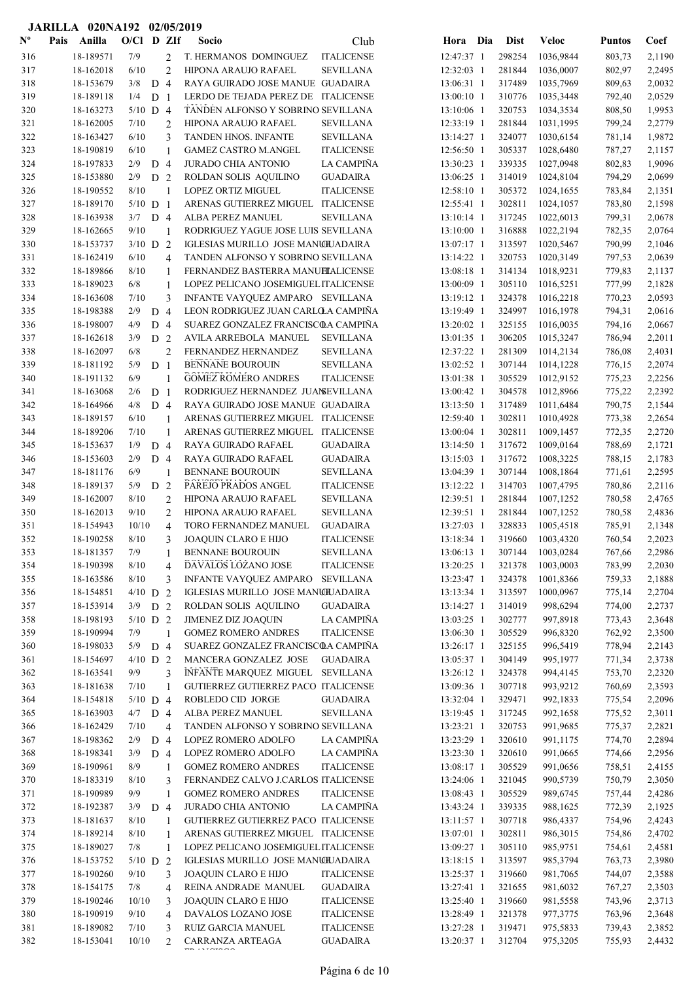|                           |      | JARILLA 020NA192 02/05/2019 |               |                |                |                                                                         |                   |                          |                  |                        |                  |                  |
|---------------------------|------|-----------------------------|---------------|----------------|----------------|-------------------------------------------------------------------------|-------------------|--------------------------|------------------|------------------------|------------------|------------------|
| $\mathbf{N}^{\mathbf{o}}$ | Pais | Anilla                      | $O/C1$ D ZIf  |                |                | Socio                                                                   | Club              | Hora Dia                 | <b>Dist</b>      | <b>Veloc</b>           | <b>Puntos</b>    | Coef             |
| 316                       |      | 18-189571                   | 7/9           |                | 2              | T. HERMANOS DOMINGUEZ                                                   | <b>ITALICENSE</b> | 12:47:37 1               | 298254           | 1036,9844              | 803,73           | 2,1190           |
| 317                       |      | 18-162018                   | 6/10          |                | $\overline{c}$ | HIPONA ARAUJO RAFAEL                                                    | <b>SEVILLANA</b>  | 12:32:03 1               | 281844           | 1036,0007              | 802,97           | 2,2495           |
| 318                       |      | 18-153679                   | 3/8           | D 4            |                | RAYA GUIRADO JOSE MANUE GUADAIRA                                        |                   | 13:06:31 1               | 317489           | 1035,7969              | 809,63           | 2,0032           |
| 319                       |      | 18-189118                   | 1/4           | D <sub>1</sub> |                | LERDO DE TEJADA PEREZ DE ITALICENSE                                     |                   | 13:00:10 1               | 310776           | 1035,3448              | 792,40           | 2,0529           |
| 320                       |      | 18-163273                   | $5/10$ D 4    |                |                | TANDEN ALFONSO Y SOBRINO SEVILLANA                                      |                   | 13:10:06 1               | 320753           | 1034,3534              | 808,50           | 1,9953           |
| 321                       |      | 18-162005                   | 7/10          |                | $\overline{c}$ | HIPONA ARAUJO RAFAEL                                                    | <b>SEVILLANA</b>  | 12:33:19 1               | 281844           | 1031,1995              | 799,24           | 2,2779           |
| 322                       |      | 18-163427                   | 6/10          |                | 3              | TANDEN HNOS. INFANTE                                                    | <b>SEVILLANA</b>  | 13:14:27 1               | 324077           | 1030,6154              | 781,14           | 1,9872           |
| 323                       |      | 18-190819                   | 6/10          |                | $\mathbf{1}$   | <b>GAMEZ CASTRO M.ANGEL</b>                                             | <b>ITALICENSE</b> | 12:56:50 1               | 305337           | 1028,6480              | 787,27           | 2,1157           |
| 324                       |      | 18-197833                   | 2/9           | D 4            |                | <b>JURADO CHIA ANTONIO</b>                                              | LA CAMPIÑA        | 13:30:23 1               | 339335           | 1027,0948              | 802,83           | 1,9096           |
| 325                       |      | 18-153880                   | 2/9           | D 2            |                | ROLDAN SOLIS AQUILINO                                                   | <b>GUADAIRA</b>   | 13:06:25 1               | 314019           | 1024,8104              | 794,29           | 2,0699           |
| 326                       |      | 18-190552                   | 8/10          |                | 1              | <b>LOPEZ ORTIZ MIGUEL</b>                                               | <b>ITALICENSE</b> | 12:58:10 1               | 305372           | 1024,1655              | 783,84           | 2,1351           |
| 327                       |      | 18-189170                   | $5/10$ D 1    |                |                | ARENAS GUTIERREZ MIGUEL ITALICENSE                                      |                   | $12:55:41$ 1             | 302811           | 1024,1057              | 783,80           | 2,1598           |
| 328                       |      | 18-163938                   | $3/7$ D 4     |                |                | ALBA PEREZ MANUEL                                                       | SEVILLANA         | 13:10:14 1               | 317245           | 1022,6013              | 799,31           | 2,0678           |
| 329                       |      | 18-162665                   | $9/10$        |                | 1              | RODRIGUEZ YAGUE JOSE LUIS SEVILLANA                                     |                   | 13:10:00 1               | 316888           | 1022,2194              | 782,35           | 2,0764           |
| 330                       |      | 18-153737                   | $3/10$ D 2    |                |                | IGLESIAS MURILLO JOSE MANUILADAIRA                                      |                   | 13:07:17 1               | 313597           | 1020,5467              | 790,99           | 2,1046           |
| 331                       |      | 18-162419                   | 6/10          |                | 4              | TANDEN ALFONSO Y SOBRINO SEVILLANA                                      |                   | 13:14:22 1               | 320753           | 1020,3149              | 797,53           | 2,0639           |
| 332                       |      | 18-189866                   | 8/10          |                | 1              | FERNANDEZ BASTERRA MANUELALICENSE                                       |                   | 13:08:18 1               | 314134           | 1018,9231              | 779,83           | 2,1137           |
| 333                       |      | 18-189023                   | 6/8           |                | $\mathbf{1}$   | LOPEZ PELICANO JOSEMIGUEL ITALICENSE                                    |                   | 13:00:09 1               | 305110           | 1016,5251              | 777,99           | 2,1828           |
| 334<br>335                |      | 18-163608<br>18-198388      | $7/10$<br>2/9 | D <sub>4</sub> | 3              | INFANTE VAYQUEZ AMPARO SEVILLANA<br>LEON RODRIGUEZ JUAN CARLOLA CAMPIÑA |                   | 13:19:12 1               | 324378<br>324997 | 1016,2218<br>1016,1978 | 770,23           | 2,0593<br>2,0616 |
| 336                       |      | 18-198007                   | 4/9           | D <sub>4</sub> |                | SUAREZ GONZALEZ FRANCISCOA CAMPIÑA                                      |                   | 13:19:49 1<br>13:20:02 1 | 325155           | 1016,0035              | 794,31<br>794,16 | 2,0667           |
| 337                       |      | 18-162618                   | 3/9           | D <sub>2</sub> |                | AVILA ARREBOLA MANUEL                                                   | <b>SEVILLANA</b>  | 13:01:35 1               | 306205           | 1015,3247              | 786,94           | 2,2011           |
| 338                       |      | 18-162097                   | 6/8           |                | $\overline{c}$ | FERNANDEZ HERNANDEZ                                                     | <b>SEVILLANA</b>  | 12:37:22 1               | 281309           | 1014,2134              | 786,08           | 2,4031           |
| 339                       |      | 18-181192                   | 5/9           | D <sub>1</sub> |                | <b>BENNANE BOUROUIN</b>                                                 | <b>SEVILLANA</b>  | 13:02:52 1               | 307144           | 1014,1228              | 776,15           | 2,2074           |
| 340                       |      | 18-191132                   | 6/9           |                | 1              | <b>GOMEZ ROMERO ANDRES</b>                                              | <b>ITALICENSE</b> | 13:01:38 1               | 305529           | 1012,9152              | 775,23           | 2,2256           |
| 341                       |      | 18-163068                   | 2/6           | D <sub>1</sub> |                | RODRIGUEZ HERNANDEZ JUANSEVILLANA                                       |                   | 13:00:42 1               | 304578           | 1012,8966              | 775,22           | 2,2392           |
| 342                       |      | 18-164966                   | 4/8           | D <sub>4</sub> |                | RAYA GUIRADO JOSE MANUE GUADAIRA                                        |                   | 13:13:50 1               | 317489           | 1011,6484              | 790,75           | 2,1544           |
| 343                       |      | 18-189157                   | 6/10          |                | 1              | ARENAS GUTIERREZ MIGUEL ITALICENSE                                      |                   | 12:59:40 1               | 302811           | 1010,4928              | 773,38           | 2,2654           |
| 344                       |      | 18-189206                   | 7/10          |                | 1              | ARENAS GUTIERREZ MIGUEL ITALICENSE                                      |                   | 13:00:04 1               | 302811           | 1009,1457              | 772,35           | 2,2720           |
| 345                       |      | 18-153637                   | 1/9           | D <sub>4</sub> |                | RAYA GUIRADO RAFAEL                                                     | <b>GUADAIRA</b>   | 13:14:50 1               | 317672           | 1009,0164              | 788,69           | 2,1721           |
| 346                       |      | 18-153603                   | 2/9           | $D_4$          |                | RAYA GUIRADO RAFAEL                                                     | <b>GUADAIRA</b>   | $13:15:03$ 1             | 317672           | 1008,3225              | 788,15           | 2,1783           |
| 347                       |      | 18-181176                   | 6/9           |                | 1              | <b>BENNANE BOUROUIN</b>                                                 | <b>SEVILLANA</b>  | 13:04:39 1               | 307144           | 1008,1864              | 771,61           | 2,2595           |
| 348                       |      | 18-189137                   | 5/9           | D              | 2              | PAREJO PRADOS ANGEL                                                     | <b>ITALICENSE</b> | 13:12:22 1               | 314703           | 1007,4795              | 780,86           | 2,2116           |
| 349                       |      | 18-162007                   | 8/10          |                | 2              | HIPONA ARAUJO RAFAEL                                                    | SEVILLANA         | 12:39:51 1               | 281844           | 1007,1252              | 780,58           | 2,4765           |
| 350                       |      | 18-162013                   | 9/10          |                | 2              | HIPONA ARAUJO RAFAEL                                                    | <b>SEVILLANA</b>  | 12:39:51 1               | 281844           | 1007,1252              | 780,58           | 2,4836           |
| 351                       |      | 18-154943                   | 10/10         |                | 4              | TORO FERNANDEZ MANUEL                                                   | <b>GUADAIRA</b>   | 13:27:03 1               | 328833           | 1005,4518              | 785,91           | 2,1348           |
| 352                       |      | 18-190258                   | 8/10          |                | 3              | JOAQUIN CLARO E HIJO                                                    | <b>ITALICENSE</b> | 13:18:34 1               | 319660           | 1003,4320              | 760,54           | 2,2023           |
| 353                       |      | 18-181357                   | 7/9           |                | 1              | <b>BENNANE BOUROUIN</b>                                                 | <b>SEVILLANA</b>  | 13:06:13 1               | 307144           | 1003,0284              | 767,66           | 2,2986           |
| 354                       |      | 18-190398                   | 8/10          |                | 4              | DAVALOS LOZANO JOSE                                                     | <b>ITALICENSE</b> | 13:20:25 1               | 321378           | 1003,0003              | 783,99           | 2,2030           |
| 355                       |      | 18-163586                   | 8/10          |                | 3              | INFANTE VAYQUEZ AMPARO                                                  | <b>SEVILLANA</b>  | 13:23:47 1               | 324378           | 1001,8366              | 759,33           | 2,1888           |
| 356                       |      | 18-154851                   | $4/10$ D 2    |                |                | IGLESIAS MURILLO JOSE MANUILJADAIRA                                     |                   | 13:13:34 1               | 313597           | 1000,0967              | 775,14           | 2,2704           |
| 357                       |      | 18-153914                   | $3/9$ D 2     |                |                | ROLDAN SOLIS AQUILINO                                                   | <b>GUADAIRA</b>   | 13:14:27 1               | 314019           | 998,6294               | 774,00           | 2,2737           |
| 358                       |      | 18-198193                   | $5/10$ D 2    |                |                | <b>JIMENEZ DIZ JOAQUIN</b>                                              | LA CAMPIÑA        | 13:03:25 1               | 302777           | 997,8918               | 773,43           | 2,3648           |
| 359                       |      | 18-190994                   | 7/9           |                | $\mathbf{1}$   | <b>GOMEZ ROMERO ANDRES</b>                                              | <b>ITALICENSE</b> | 13:06:30 1               | 305529           | 996,8320               | 762,92           | 2,3500           |
| 360                       |      | 18-198033                   | 5/9           | D 4            |                | SUAREZ GONZALEZ FRANCISCOA CAMPIÑA                                      |                   | 13:26:17 1               | 325155           | 996,5419               | 778,94           | 2,2143           |
| 361                       |      | 18-154697                   | $4/10$ D 2    |                |                | MANCERA GONZALEZ JOSE                                                   | <b>GUADAIRA</b>   | 13:05:37 1               | 304149           | 995,1977               | 771,34           | 2,3738           |
| 362                       |      | 18-163541                   | 9/9           |                | 3              | INFANTE MARQUEZ MIGUEL SEVILLANA                                        |                   | 13:26:12 1               | 324378           | 994,4145               | 753,70           | 2,2320           |
| 363                       |      | 18-181638                   | 7/10          |                | 1              | GUTIERREZ GUTIERREZ PACO ITALICENSE                                     |                   | 13:09:36 1               | 307718           | 993,9212               | 760,69           | 2,3593           |
| 364                       |      | 18-154818                   | $5/10$ D 4    |                |                | ROBLEDO CID JORGE                                                       | GUADAIRA          | 13:32:04 1               | 329471           | 992,1833               | 775,54           | 2,2096           |
| 365                       |      | 18-163903                   | 4/7           | D 4            |                | ALBA PEREZ MANUEL                                                       | <b>SEVILLANA</b>  | 13:19:45 1               | 317245           | 992,1658               | 775,52           | 2,3011           |
| 366                       |      | 18-162429                   | 7/10          |                | 4              | TANDEN ALFONSO Y SOBRINO SEVILLANA                                      |                   | 13:23:21 1               | 320753           | 991,9685               | 775,37           | 2,2821           |
| 367                       |      | 18-198362                   | 2/9           | D <sub>4</sub> |                | LOPEZ ROMERO ADOLFO                                                     | LA CAMPIÑA        | 13:23:29 1               | 320610           | 991,1175               | 774,70           | 2,2894           |
| 368                       |      | 18-198341                   | 3/9           | D 4            |                | LOPEZ ROMERO ADOLFO                                                     | LA CAMPIÑA        | 13:23:30 1               | 320610           | 991,0665               | 774,66           | 2,2956           |
| 369                       |      | 18-190961                   | 8/9           |                | 1              | <b>GOMEZ ROMERO ANDRES</b>                                              | <b>ITALICENSE</b> | 13:08:17 1               | 305529           | 991,0656               | 758,51           | 2,4155           |
| 370                       |      | 18-183319                   | 8/10          |                | 3              | FERNANDEZ CALVO J.CARLOS ITALICENSE                                     |                   | 13:24:06 1               | 321045           | 990,5739               | 750,79           | 2,3050           |
| 371                       |      | 18-190989                   | 9/9           |                | $\mathbf{1}$   | <b>GOMEZ ROMERO ANDRES</b>                                              | <b>ITALICENSE</b> | 13:08:43 1               | 305529           | 989,6745               | 757,44           | 2,4286           |
| 372                       |      | 18-192387                   | 3/9           | D 4            |                | <b>JURADO CHIA ANTONIO</b>                                              | LA CAMPIÑA        | 13:43:24 1               | 339335           | 988,1625               | 772,39           | 2,1925           |
| 373                       |      | 18-181637                   | 8/10          |                | 1              | GUTIERREZ GUTIERREZ PACO ITALICENSE                                     |                   | 13:11:57 1               | 307718           | 986,4337               | 754,96           | 2,4243           |
| 374                       |      | 18-189214                   | $8/10$        |                | 1              | ARENAS GUTIERREZ MIGUEL ITALICENSE                                      |                   | 13:07:01 1               | 302811           | 986,3015               | 754,86           | 2,4702           |
| 375                       |      | 18-189027                   | 7/8           |                | 1              | LOPEZ PELICANO JOSEMIGUEL ITALICENSE                                    |                   | 13:09:27 1               | 305110           | 985,9751               | 754,61           | 2,4581           |
| 376                       |      | 18-153752                   | $5/10$ D 2    |                |                | IGLESIAS MURILLO JOSE MANUILJADAIRA                                     |                   | 13:18:15 1               | 313597           | 985,3794               | 763,73           | 2,3980           |
| 377                       |      | 18-190260                   | 9/10          |                | 3              | JOAQUIN CLARO E HIJO                                                    | <b>ITALICENSE</b> | 13:25:37 1               | 319660           | 981,7065               | 744,07           | 2,3588           |
| 378                       |      | 18-154175                   | 7/8           |                | 4              | REINA ANDRADE MANUEL                                                    | <b>GUADAIRA</b>   | 13:27:41 1               | 321655           | 981,6032               | 767,27           | 2,3503           |
| 379                       |      | 18-190246                   | 10/10         |                | 3              | JOAQUIN CLARO E HIJO                                                    | <b>ITALICENSE</b> | 13:25:40 1               | 319660           | 981,5558               | 743,96           | 2,3713           |
| 380                       |      | 18-190919                   | $9/10$        |                | $\overline{4}$ | DAVALOS LOZANO JOSE                                                     | <b>ITALICENSE</b> | 13:28:49 1               | 321378           | 977,3775               | 763,96           | 2,3648           |
| 381                       |      | 18-189082                   | 7/10          |                | 3              | RUIZ GARCIA MANUEL                                                      | <b>ITALICENSE</b> | 13:27:28 1               | 319471           | 975,5833               | 739,43           | 2,3852           |
| 382                       |      | 18-153041                   | 10/10         |                | $\overline{2}$ | CARRANZA ARTEAGA<br>mm is raraana                                       | <b>GUADAIRA</b>   | 13:20:37 1               | 312704           | 975,3205               | 755,93           | 2,4432           |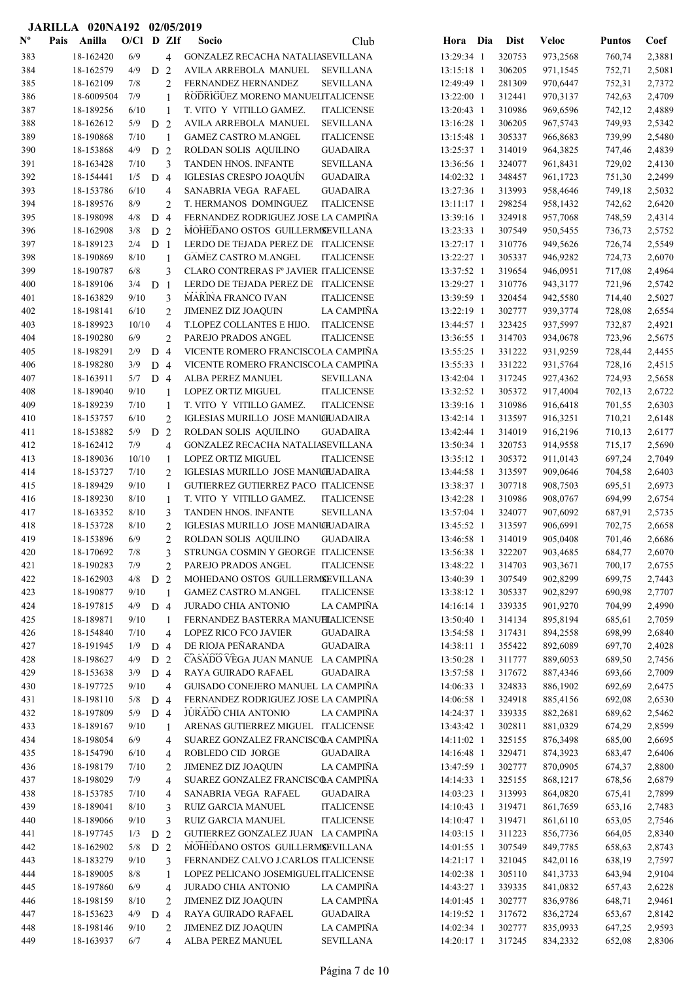|                |      | JARILLA 020NA192 02/05/2019 |              |                |                         |                                                             |                   |                          |                  |                      |                  |                  |
|----------------|------|-----------------------------|--------------|----------------|-------------------------|-------------------------------------------------------------|-------------------|--------------------------|------------------|----------------------|------------------|------------------|
| $N^{\text{o}}$ | Pais | Anilla                      | $O/C1$ D ZIf |                |                         | <b>Socio</b>                                                | Club              | Hora Dia                 | <b>Dist</b>      | <b>Veloc</b>         | <b>Puntos</b>    | Coef             |
| 383            |      | 18-162420                   | 6/9          |                | $\overline{4}$          | GONZALEZ RECACHA NATALIASEVILLANA                           |                   | 13:29:34 1               | 320753           | 973,2568             | 760,74           | 2,3881           |
| 384            |      | 18-162579                   | 4/9          | D              | 2                       | AVILA ARREBOLA MANUEL                                       | <b>SEVILLANA</b>  | 13:15:18 1               | 306205           | 971,1545             | 752,71           | 2,5081           |
| 385            |      | 18-162109                   | 7/8          |                | $\overline{c}$          | FERNANDEZ HERNANDEZ                                         | <b>SEVILLANA</b>  | 12:49:49 1               | 281309           | 970,6447             | 752,31           | 2,7372           |
| 386            |      | 18-6009504                  | 7/9          |                | 1                       | RODRIGUEZ MORENO MANUELITALICENSE                           |                   | 13:22:00 1               | 312441           | 970,3137             | 742,63           | 2,4709           |
| 387            |      | 18-189256                   | 6/10         |                | $\mathbf{1}$            | T. VITO Y VITILLO GAMEZ.                                    | <b>ITALICENSE</b> | 13:20:43 1               | 310986           | 969,6596             | 742,12           | 2,4889           |
| 388            |      | 18-162612                   | 5/9          | D              | $\overline{2}$          | AVILA ARREBOLA MANUEL                                       | <b>SEVILLANA</b>  | 13:16:28 1               | 306205           | 967,5743             | 749,93           | 2,5342           |
| 389            |      | 18-190868                   | 7/10         |                | 1                       | <b>GAMEZ CASTRO M.ANGEL</b>                                 | <b>ITALICENSE</b> | 13:15:48 1               | 305337           | 966,8683             | 739,99           | 2,5480           |
| 390            |      | 18-153868                   | 4/9          | D              | $\overline{2}$          | ROLDAN SOLIS AQUILINO                                       | <b>GUADAIRA</b>   | 13:25:37 1               | 314019           | 964,3825             | 747,46           | 2,4839           |
| 391            |      | 18-163428                   | 7/10         |                | 3                       | <b>TANDEN HNOS. INFANTE</b>                                 | <b>SEVILLANA</b>  | 13:36:56 1               | 324077           | 961,8431             | 729,02           | 2,4130           |
| 392            |      | 18-154441                   | 1/5          | D <sub>4</sub> |                         | IGLESIAS CRESPO JOAQUÍN                                     | <b>GUADAIRA</b>   | 14:02:32 1               | 348457           | 961,1723             | 751,30           | 2,2499           |
| 393            |      | 18-153786                   | 6/10         |                | $\overline{4}$          | SANABRIA VEGA RAFAEL                                        | <b>GUADAIRA</b>   | 13:27:36 1               | 313993           | 958,4646             | 749,18           | 2,5032           |
| 394            |      | 18-189576                   | 8/9          |                | $\overline{2}$          | T. HERMANOS DOMINGUEZ                                       | <b>ITALICENSE</b> | 13:11:17 1               | 298254           | 958,1432             | 742,62           | 2,6420           |
| 395            |      | 18-198098                   | 4/8          | D <sub>4</sub> |                         | FERNANDEZ RODRIGUEZ JOSE LA CAMPIÑA                         |                   | 13:39:16 1               | 324918           | 957,7068             | 748,59           | 2,4314           |
| 396            |      | 18-162908                   | 3/8          | D <sub>2</sub> |                         | MOHEDANO OSTOS GUILLERMSEVILLANA                            |                   | 13:23:33 1               | 307549           | 950,5455             | 736,73           | 2,5752           |
| 397            |      | 18-189123                   | 2/4          | D              | $\overline{1}$          | LERDO DE TEJADA PEREZ DE ITALICENSE                         |                   | 13:27:17 1               | 310776           | 949,5626             | 726,74           | 2,5549           |
| 398            |      | 18-190869                   | 8/10         |                | $\mathbf{1}$            | <b>GAMEZ CASTRO M.ANGEL</b>                                 | <b>ITALICENSE</b> | 13:22:27 1               | 305337           | 946,9282             | 724,73           | 2,6070           |
| 399            |      | 18-190787                   | 6/8          |                | 3                       | CLARO CONTRERAS Fº JAVIER ITALICENSE                        |                   | 13:37:52 1               | 319654           | 946,0951             | 717,08           | 2,4964           |
| 400            |      | 18-189106                   | 3/4          | D              | -1                      | LERDO DE TEJADA PEREZ DE ITALICENSE                         |                   | 13:29:27 1               | 310776           | 943,3177             | 721,96           | 2,5742           |
| 401            |      | 18-163829                   | 9/10         |                | 3                       | <b>MARINA FRANCO IVAN</b>                                   | <b>ITALICENSE</b> | 13:39:59 1               | 320454           | 942,5580             | 714,40           | 2,5027           |
| 402            |      | 18-198141                   | 6/10         |                | 2                       | <b>JIMENEZ DIZ JOAQUIN</b>                                  | LA CAMPIÑA        | 13:22:19 1               | 302777           | 939,3774             | 728,08           | 2,6554           |
| 403            |      | 18-189923                   | 10/10        |                | $\overline{4}$          | T.LOPEZ COLLANTES E HIJO.                                   | <b>ITALICENSE</b> | 13:44:57 1               | 323425           | 937,5997             | 732,87           | 2,4921           |
| 404            |      | 18-190280                   | 6/9          |                | $\overline{2}$          | PAREJO PRADOS ANGEL                                         | <b>ITALICENSE</b> | 13:36:55 1               | 314703           | 934,0678             | 723,96           | 2,5675           |
| 405            |      | 18-198291                   | 2/9          | D 4            |                         | VICENTE ROMERO FRANCISCOLA CAMPIÑA                          |                   | 13:55:25 1               | 331222           | 931,9259             | 728,44           | 2,4455           |
| 406            |      | 18-198280                   | 3/9          | D 4            |                         | VICENTE ROMERO FRANCISCOLA CAMPIÑA                          |                   | 13:55:33 1               | 331222           | 931,5764             | 728,16           | 2,4515           |
| 407            |      | 18-163911                   | $5/7$ D 4    |                |                         | ALBA PEREZ MANUEL                                           | <b>SEVILLANA</b>  | 13:42:04 1               | 317245           | 927,4362             | 724,93           | 2,5658           |
| 408            |      | 18-189040                   | 9/10         |                | 1                       | LOPEZ ORTIZ MIGUEL                                          | <b>ITALICENSE</b> | 13:32:52 1               | 305372           | 917,4004             | 702,13           | 2,6722           |
| 409            |      | 18-189239                   | 7/10         |                | 1                       | T. VITO Y VITILLO GAMEZ.                                    | <b>ITALICENSE</b> | 13:39:16 1               | 310986           | 916,6418             | 701,55           | 2,6303           |
| 410            |      | 18-153757                   | 6/10         |                | $\overline{2}$          | IGLESIAS MURILLO JOSE MANU <del>I</del> UADAIRA             |                   | $13:42:14$ 1             | 313597           | 916,3251             | 710,21           | 2,6148           |
| 411            |      | 18-153882                   | 5/9          | D              | 2                       | ROLDAN SOLIS AQUILINO                                       | <b>GUADAIRA</b>   | 13:42:44 1               | 314019           | 916,2196             | 710,13           | 2,6177           |
| 412            |      | 18-162412                   | 7/9          |                | $\overline{4}$          | GONZALEZ RECACHA NATALIASEVILLANA                           |                   | 13:50:34 1               | 320753           | 914,9558             | 715,17           | 2,5690           |
| 413            |      | 18-189036                   | 10/10        |                | $\mathbf{1}$            | <b>LOPEZ ORTIZ MIGUEL</b>                                   | <b>ITALICENSE</b> | 13:35:12 1               | 305372           | 911,0143             | 697,24           | 2,7049           |
| 414            |      | 18-153727                   | 7/10         |                | 2                       | IGLESIAS MURILLO JOSE MANCHJADAIRA                          |                   | 13:44:58 1               | 313597           | 909,0646             | 704,58           | 2,6403           |
| 415            |      | 18-189429                   | 9/10         |                | $\mathbf{1}$            | GUTIERREZ GUTIERREZ PACO ITALICENSE                         |                   | 13:38:37 1               | 307718           | 908,7503             | 695,51           | 2,6973           |
| 416            |      | 18-189230                   | 8/10         |                | 1                       | T. VITO Y VITILLO GAMEZ.                                    | <b>ITALICENSE</b> | 13:42:28 1               | 310986           | 908,0767             | 694,99           | 2,6754           |
| 417            |      | 18-163352                   | 8/10         |                | 3                       | <b>TANDEN HNOS. INFANTE</b>                                 | <b>SEVILLANA</b>  | 13:57:04 1               | 324077           | 907,6092             | 687,91           | 2,5735           |
| 418            |      | 18-153728                   | 8/10<br>6/9  |                | $\overline{c}$          | IGLESIAS MURILLO JOSE MANCHJADAIRA                          |                   | 13:45:52 1               | 313597           | 906,6991             | 702,75           | 2,6658<br>2,6686 |
| 419<br>420     |      | 18-153896<br>18-170692      | 7/8          |                | $\overline{\mathbf{c}}$ | ROLDAN SOLIS AQUILINO<br>STRUNGA COSMIN Y GEORGE ITALICENSE | <b>GUADAIRA</b>   | 13:46:58 1               | 314019           | 905,0408<br>903,4685 | 701,46           |                  |
| 421            |      | 18-190283                   | 7/9          |                | 3                       | PAREJO PRADOS ANGEL                                         | <b>ITALICENSE</b> | 13:56:38 1<br>13:48:22 1 | 322207           | 903,3671             | 684,77<br>700,17 | 2,6070           |
| 422            |      | 18-162903                   | 4/8          | D 2            | $\mathbf{2}$            | MOHEDANO OSTOS GUILLERMSEVILLANA                            |                   | 13:40:39 1               | 314703<br>307549 | 902,8299             | 699,75           | 2,6755<br>2,7443 |
| 423            |      | 18-190877                   | 9/10         |                | $\overline{1}$          | <b>GAMEZ CASTRO M.ANGEL</b>                                 | <b>ITALICENSE</b> | 13:38:12 1               | 305337           | 902,8297             | 690,98           | 2,7707           |
| 424            |      | 18-197815                   | 4/9          | D <sub>4</sub> |                         | <b>JURADO CHIA ANTONIO</b>                                  | LA CAMPIÑA        | 14:16:14 1               | 339335           | 901,9270             | 704,99           | 2,4990           |
| 425            |      | 18-189871                   | 9/10         |                | $\mathbf{1}$            | FERNANDEZ BASTERRA MANUELALICENSE                           |                   | 13:50:40 1               | 314134           | 895,8194             | 685,61           | 2,7059           |
| 426            |      | 18-154840                   | 7/10         |                | 4                       | <b>LOPEZ RICO FCO JAVIER</b>                                | <b>GUADAIRA</b>   | 13:54:58 1               | 317431           | 894,2558             | 698,99           | 2,6840           |
| 427            |      | 18-191945                   | 1/9          | D 4            |                         | DE RIOJA PEÑARANDA                                          | <b>GUADAIRA</b>   | 14:38:11 1               | 355422           | 892,6089             | 697,70           | 2,4028           |
| 428            |      | 18-198627                   | 4/9          | $\mathbf{D}$   | 2                       | CASADO VEGA JUAN MANUE LA CAMPIÑA                           |                   | 13:50:28 1               | 311777           | 889,6053             | 689,50           | 2,7456           |
| 429            |      | 18-153638                   | 3/9          | D 4            |                         | RAYA GUIRADO RAFAEL                                         | <b>GUADAIRA</b>   | 13:57:58 1               | 317672           | 887,4346             | 693,66           | 2,7009           |
| 430            |      | 18-197725                   | 9/10         |                | 4                       | GUISADO CONEJERO MANUEL LA CAMPIÑA                          |                   | 14:06:33 1               | 324833           | 886,1902             | 692,69           | 2,6475           |
| 431            |      | 18-198110                   | 5/8          | D <sub>4</sub> |                         | FERNANDEZ RODRIGUEZ JOSE LA CAMPIÑA                         |                   | 14:06:58 1               | 324918           | 885,4156             | 692,08           | 2,6530           |
| 432            |      | 18-197809                   | 5/9          | D <sub>4</sub> |                         | <b>JURADO CHIA ANTONIO</b>                                  | LA CAMPIÑA        | 14:24:37 1               | 339335           | 882,2681             | 689,62           | 2,5462           |
| 433            |      | 18-189167                   | 9/10         |                | 1                       | ARENAS GUTIERREZ MIGUEL ITALICENSE                          |                   | 13:43:42 1               | 302811           | 881,0329             | 674,29           | 2,8599           |
| 434            |      | 18-198054                   | 6/9          |                | $\overline{4}$          | SUAREZ GONZALEZ FRANCISCOA CAMPIÑA                          |                   | 14:11:02 1               | 325155           | 876,3498             | 685,00           | 2,6695           |
| 435            |      | 18-154790                   | 6/10         |                | $\overline{4}$          | ROBLEDO CID JORGE                                           | <b>GUADAIRA</b>   | 14:16:48 1               | 329471           | 874,3923             | 683,47           | 2,6406           |
| 436            |      | 18-198179                   | 7/10         |                | 2                       | <b>JIMENEZ DIZ JOAQUIN</b>                                  | LA CAMPIÑA        | 13:47:59 1               | 302777           | 870,0905             | 674,37           | 2,8800           |
| 437            |      | 18-198029                   | 7/9          |                | $\overline{4}$          | SUAREZ GONZALEZ FRANCISCOA CAMPIÑA                          |                   | 14:14:33 1               | 325155           | 868,1217             | 678,56           | 2,6879           |
| 438            |      | 18-153785                   | 7/10         |                | $\overline{4}$          | SANABRIA VEGA RAFAEL                                        | <b>GUADAIRA</b>   | $14:03:23$ 1             | 313993           | 864,0820             | 675,41           | 2,7899           |
| 439            |      | 18-189041                   | 8/10         |                | 3                       | RUIZ GARCIA MANUEL                                          | <b>ITALICENSE</b> | 14:10:43 1               | 319471           | 861,7659             | 653,16           | 2,7483           |
| 440            |      | 18-189066                   | 9/10         |                | 3                       | RUIZ GARCIA MANUEL                                          | <b>ITALICENSE</b> | 14:10:47 1               | 319471           | 861,6110             | 653,05           | 2,7546           |
| 441            |      | 18-197745                   | $1/3$ D 2    |                |                         | GUTIERREZ GONZALEZ JUAN LA CAMPIÑA                          |                   | 14:03:15 1               | 311223           | 856,7736             | 664,05           | 2,8340           |
| 442            |      | 18-162902                   | $5/8$ D $2$  |                |                         | MOHEDANO OSTOS GUILLERMSEVILLANA                            |                   | 14:01:55 1               | 307549           | 849,7785             | 658,63           | 2,8743           |
| 443            |      | 18-183279                   | 9/10         |                | 3                       | FERNANDEZ CALVO J.CARLOS ITALICENSE                         |                   | 14:21:17 1               | 321045           | 842,0116             | 638,19           | 2,7597           |
| 444            |      | 18-189005                   | 8/8          |                | 1                       | LOPEZ PELICANO JOSEMIGUEL ITALICENSE                        |                   | 14:02:38 1               | 305110           | 841,3733             | 643,94           | 2,9104           |
| 445            |      | 18-197860                   | $6/9$        |                | $\overline{4}$          | <b>JURADO CHIA ANTONIO</b>                                  | LA CAMPIÑA        | 14:43:27 1               | 339335           | 841,0832             | 657,43           | 2,6228           |
| 446            |      | 18-198159                   | 8/10         |                | $\overline{2}$          | <b>JIMENEZ DIZ JOAQUIN</b>                                  | LA CAMPIÑA        | 14:01:45 1               | 302777           | 836,9786             | 648,71           | 2,9461           |
| 447            |      | 18-153623                   | 4/9          | D <sub>4</sub> |                         | RAYA GUIRADO RAFAEL                                         | <b>GUADAIRA</b>   | 14:19:52 1               | 317672           | 836,2724             | 653,67           | 2,8142           |
| 448            |      | 18-198146                   | 9/10         |                | 2                       | <b>JIMENEZ DIZ JOAQUIN</b>                                  | LA CAMPIÑA        | 14:02:34 1               | 302777           | 835,0933             | 647,25           | 2,9593           |
| 449            |      | 18-163937                   | 6/7          |                | $\overline{4}$          | ALBA PEREZ MANUEL                                           | <b>SEVILLANA</b>  | 14:20:17 1               | 317245           | 834,2332             | 652,08           | 2,8306           |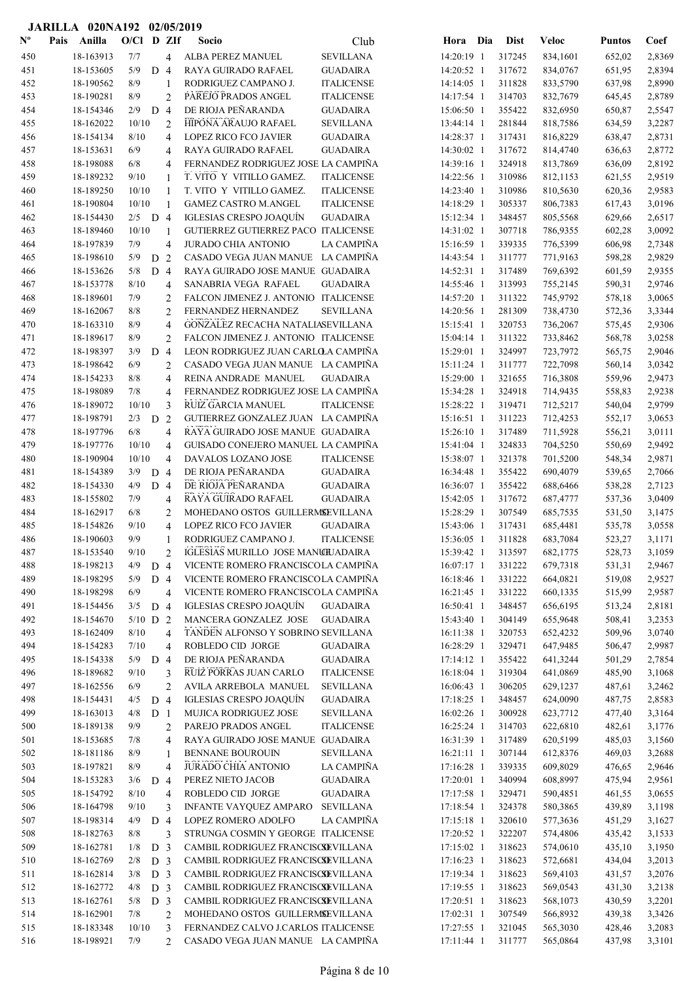|                           | JARILLA 020NA192 02/05/2019 |              |                       |                |                                         |                                       |                          |                  |                      |                  |                  |
|---------------------------|-----------------------------|--------------|-----------------------|----------------|-----------------------------------------|---------------------------------------|--------------------------|------------------|----------------------|------------------|------------------|
| $\mathbf{N}^{\mathbf{o}}$ | Anilla<br>Pais              | $O/C1$ D ZIf |                       |                | <b>Socio</b>                            | Club                                  | Hora Dia                 | <b>Dist</b>      | <b>Veloc</b>         | <b>Puntos</b>    | Coef             |
| 450                       | 18-163913                   | 7/7          |                       | 4              | ALBA PEREZ MANUEL                       | <b>SEVILLANA</b>                      | 14:20:19 1               | 317245           | 834,1601             | 652,02           | 2,8369           |
| 451                       | 18-153605                   | 5/9          | D <sub>4</sub>        |                | RAYA GUIRADO RAFAEL                     | <b>GUADAIRA</b>                       | 14:20:52 1               | 317672           | 834,0767             | 651,95           | 2,8394           |
| 452                       | 18-190562                   | 8/9          |                       | 1              | RODRIGUEZ CAMPANO J.                    | <b>ITALICENSE</b>                     | 14:14:05 1               | 311828           | 833,5790             | 637,98           | 2,8990           |
| 453                       | 18-190281                   | 8/9          |                       | $\overline{2}$ | PAREJO PRADOS ANGEL                     | <b>ITALICENSE</b>                     | 14:17:54 1               | 314703           | 832,7679             | 645,45           | 2,8789           |
| 454                       | 18-154346                   | 2/9          | D                     | $\overline{4}$ | DE RIOJA PEÑARANDA                      | <b>GUADAIRA</b>                       | 15:06:50 1               | 355422           | 832,6950             | 650,87           | 2,5547           |
| 455                       | 18-162022                   | 10/10        |                       | $\overline{2}$ | HIPONA ARAUJO RAFAEL                    | <b>SEVILLANA</b>                      | 13:44:14 1               | 281844           | 818,7586             | 634,59           | 3,2287           |
| 456                       | 18-154134                   | 8/10         |                       | 4              | <b>LOPEZ RICO FCO JAVIER</b>            | <b>GUADAIRA</b>                       | 14:28:37 1               | 317431           | 816,8229             | 638,47           | 2,8731           |
| 457                       | 18-153631                   | 6/9          |                       | 4              | RAYA GUIRADO RAFAEL                     | <b>GUADAIRA</b>                       | 14:30:02 1               | 317672           | 814,4740             | 636,63           | 2,8772           |
| 458                       | 18-198088                   | 6/8          |                       | 4              | FERNANDEZ RODRIGUEZ JOSE LA CAMPIÑA     |                                       | 14:39:16 1               | 324918           | 813,7869             | 636,09           | 2,8192           |
| 459                       | 18-189232                   | 9/10         |                       | 1              | T. VITO Y VITILLO GAMEZ.                | <b>ITALICENSE</b>                     | 14:22:56 1               | 310986           | 812,1153             | 621,55           | 2,9519           |
| 460                       | 18-189250                   | 10/10        |                       | 1              | T. VITO Y VITILLO GAMEZ.                | <b>ITALICENSE</b>                     | 14:23:40 1               | 310986           | 810,5630             | 620,36           | 2,9583           |
| 461                       | 18-190804                   | 10/10        |                       | 1              | <b>GAMEZ CASTRO M.ANGEL</b>             | <b>ITALICENSE</b>                     | 14:18:29 1               | 305337           | 806,7383             | 617,43           | 3,0196           |
| 462                       | 18-154430                   | $2/5$ D 4    |                       |                | <b>IGLESIAS CRESPO JOAQUÍN</b>          | <b>GUADAIRA</b>                       | 15:12:34 1               | 348457           | 805,5568             | 629,66           | 2,6517           |
| 463                       | 18-189460                   | 10/10        |                       | 1              | GUTIERREZ GUTIERREZ PACO ITALICENSE     |                                       | 14:31:02 1               | 307718           | 786,9355             | 602,28           | 3,0092           |
| 464                       | 18-197839                   | 7/9          |                       | 4              | <b>JURADO CHIA ANTONIO</b>              | <b>LA CAMPIÑA</b>                     | 15:16:59 1               | 339335           | 776,5399             | 606,98           | 2,7348           |
| 465                       | 18-198610                   | 5/9          | D                     | 2              | CASADO VEGA JUAN MANUE LA CAMPIÑA       |                                       | 14:43:54 1               | 311777           | 771,9163             | 598,28           | 2,9829           |
| 466                       | 18-153626                   | 5/8          | D <sub>4</sub>        |                | RAYA GUIRADO JOSE MANUE GUADAIRA        |                                       | 14:52:31 1               | 317489           | 769,6392             | 601,59           | 2,9355           |
| 467                       | 18-153778                   | 8/10         |                       | 4              | SANABRIA VEGA RAFAEL                    | <b>GUADAIRA</b>                       | 14:55:46 1               | 313993           | 755,2145             | 590,31           | 2,9746           |
| 468                       | 18-189601                   | 7/9          |                       | 2              | FALCON JIMENEZ J. ANTONIO ITALICENSE    |                                       | 14:57:20 1               | 311322           | 745,9792             | 578,18           | 3,0065           |
| 469                       | 18-162067                   | 8/8          |                       | $\overline{2}$ | FERNANDEZ HERNANDEZ                     | <b>SEVILLANA</b>                      | 14:20:56 1               | 281309           | 738,4730             | 572,36           | 3,3344           |
| 470                       | 18-163310                   | 8/9          |                       | 4              | GONZALEZ RECACHA NATALIASEVILLANA       |                                       | 15:15:41 1               | 320753           | 736,2067             | 575,45           | 2,9306           |
| 471                       | 18-189617                   | 8/9          |                       | $\overline{2}$ | FALCON JIMENEZ J. ANTONIO ITALICENSE    |                                       | $15:04:14$ 1             | 311322           | 733,8462             | 568,78           | 3,0258           |
| 472                       | 18-198397                   | 3/9          | D                     | $\overline{4}$ | LEON RODRIGUEZ JUAN CARLOLA CAMPIÑA     |                                       | 15:29:01 1               | 324997           | 723,7972             | 565,75           | 2,9046           |
| 473                       | 18-198642                   | 6/9          |                       | 2              | CASADO VEGA JUAN MANUE LA CAMPIÑA       |                                       | 15:11:24 1               | 311777           | 722,7098             | 560,14           | 3,0342           |
| 474                       | 18-154233                   | 8/8          |                       | 4              | REINA ANDRADE MANUEL                    | <b>GUADAIRA</b>                       | 15:29:00 1               | 321655           | 716,3808             | 559,96           | 2,9473           |
| 475                       | 18-198089                   | 7/8          |                       | 4              | FERNANDEZ RODRIGUEZ JOSE LA CAMPIÑA     |                                       | 15:34:28 1               | 324918           | 714,9435             | 558,83           | 2,9238           |
| 476                       | 18-189072                   | 10/10        |                       | 3              | RUIZ GARCIA MANUEL                      | <b>ITALICENSE</b>                     | 15:28:22 1               | 319471           | 712,5217             | 540,04           | 2,9799           |
| 477                       | 18-198791                   | 2/3          | D                     | 2              | GUTIERREZ GONZALEZ JUAN LA CAMPIÑA      |                                       | $15:16:51$ 1             | 311223           | 712,4253             | 552,17           | 3,0653           |
| 478                       | 18-197796                   | 6/8          |                       | $\overline{4}$ | RAYA GUIRADO JOSE MANUE GUADAIRA        |                                       | 15:26:10 1               | 317489           | 711,5928             | 556,21           | 3,0111           |
| 479                       | 18-197776                   | 10/10        |                       | $\overline{4}$ | GUISADO CONEJERO MANUEL LA CAMPIÑA      |                                       | 15:41:04 1               | 324833           | 704,5250             | 550,69           | 2,9492           |
| 480                       | 18-190904                   | 10/10        |                       | $\overline{4}$ | DAVALOS LOZANO JOSE                     | <b>ITALICENSE</b>                     | 15:38:07 1               | 321378           | 701,5200             | 548,34           | 2,9871           |
| 481                       | 18-154389                   | 3/9          | D <sub>4</sub>        |                | DE RIOJA PEÑARANDA                      | <b>GUADAIRA</b>                       | 16:34:48 1               | 355422           | 690,4079             | 539,65           | 2,7066           |
| 482                       | 18-154330                   | 4/9          | D 4                   |                | DE RIOJA PEÑARANDA                      | <b>GUADAIRA</b>                       | 16:36:07 1               | 355422           | 688,6466             | 538,28           | 2,7123           |
| 483                       | 18-155802                   | 7/9          |                       | 4              | RAYA GUIRADO RAFAEL                     | <b>GUADAIRA</b>                       | 15:42:05 1               | 317672           | 687,4777             | 537,36           | 3,0409           |
| 484                       | 18-162917                   | 6/8          |                       | 2              | MOHEDANO OSTOS GUILLERMSEVILLANA        |                                       | 15:28:29 1               | 307549           | 685,7535             | 531,50           | 3,1475           |
| 485                       | 18-154826                   | 9/10         |                       | 4              | <b>LOPEZ RICO FCO JAVIER</b>            | <b>GUADAIRA</b>                       | 15:43:06 1               | 317431           | 685,4481             | 535,78           | 3,0558           |
| 486                       | 18-190603                   | 9/9          |                       |                | RODRIGUEZ CAMPANO J.                    | <b>ITALICENSE</b>                     | 15:36:05 1               | 311828           | 683,7084             | 523,27           | 3,1171           |
| 487                       | 18-153540                   | 9/10         |                       | $\overline{c}$ | IGLESIAS MURILLO JOSE MANCHJADAIRA      |                                       | 15:39:42 1               | 313597           | 682,1775             | 528,73           | 3,1059           |
| 488                       | 18-198213                   | 4/9          | D 4                   |                | VICENTE ROMERO FRANCISCOLA CAMPIÑA      |                                       | 16:07:17 1               | 331222           | 679,7318             | 531,31           | 2,9467           |
| 489                       | 18-198295                   | 5/9          | $D_4$                 |                | VICENTE ROMERO FRANCISCOLA CAMPIÑA      |                                       | 16:18:46 1               | 331222           | 664,0821             | 519,08           | 2,9527           |
| 490                       | 18-198298                   | 6/9          |                       | $\overline{4}$ | VICENTE ROMERO FRANCISCOLA CAMPIÑA      |                                       | 16:21:45 1               | 331222           | 660,1335             | 515,99           | 2,9587           |
| 491                       | 18-154456                   | 3/5          | D <sub>4</sub>        |                | IGLESIAS CRESPO JOAQUÍN                 | <b>GUADAIRA</b>                       | 16:50:41 1               | 348457           | 656,6195             | 513,24           | 2,8181           |
| 492                       | 18-154670                   | $5/10$ D 2   |                       |                | MANCERA GONZALEZ JOSE                   | <b>GUADAIRA</b>                       | 15:43:40 1               | 304149           | 655,9648             | 508,41           | 3,2353           |
| 493                       | 18-162409<br>18-154283      | 8/10         |                       | 4              | TANDEN ALFONSO Y SOBRINO SEVILLANA      | <b>GUADAIRA</b>                       | 16:11:38 1<br>16:28:29 1 | 320753           | 652,4232             | 509,96           | 3,0740           |
| 494<br>495                | 18-154338                   | 7/10<br>5/9  |                       | $\overline{4}$ | ROBLEDO CID JORGE<br>DE RIOJA PEÑARANDA | <b>GUADAIRA</b>                       | 17:14:12 1               | 329471<br>355422 | 647,9485<br>641,3244 | 506,47           | 2,9987           |
|                           | 18-189682                   | 9/10         | D                     | $\overline{4}$ | RUIZ PORRAS JUAN CARLO                  |                                       |                          | 319304           | 641,0869             | 501,29<br>485,90 | 2,7854           |
| 496<br>497                | 18-162556                   | 6/9          |                       | 3              | AVILA ARREBOLA MANUEL                   | <b>ITALICENSE</b><br><b>SEVILLANA</b> | 16:18:04 1<br>16:06:43 1 | 306205           | 629,1237             |                  | 3,1068           |
| 498                       | 18-154431                   | 4/5          |                       | 2              | IGLESIAS CRESPO JOAQUÍN                 | <b>GUADAIRA</b>                       | 17:18:25 1               | 348457           | 624,0090             | 487,61<br>487,75 | 3,2462           |
| 499                       | 18-163013                   | 4/8          | D 4<br>D <sub>1</sub> |                | MUJICA RODRIGUEZ JOSE                   | <b>SEVILLANA</b>                      | 16:02:26 1               | 300928           | 623,7712             | 477,40           | 2,8583<br>3,3164 |
| 500                       | 18-189138                   | 9/9          |                       | 2              | PAREJO PRADOS ANGEL                     | <b>ITALICENSE</b>                     | 16:25:24 1               | 314703           | 622,6810             | 482,61           | 3,1776           |
| 501                       | 18-153685                   | 7/8          |                       | 4              | RAYA GUIRADO JOSE MANUE GUADAIRA        |                                       | 16:31:39 1               | 317489           | 620,5199             | 485,03           | 3,1560           |
| 502                       | 18-181186                   | 8/9          |                       | 1              | <b>BENNANE BOUROUIN</b>                 | <b>SEVILLANA</b>                      | $16:21:11$ 1             | 307144           | 612,8376             | 469,03           | 3,2688           |
| 503                       | 18-197821                   | 8/9          |                       | $\overline{4}$ | JURADO CHIA ANTONIO                     | LA CAMPIÑA                            | 17:16:28 1               | 339335           | 609,8029             | 476,65           | 2,9646           |
| 504                       | 18-153283                   | 3/6          | D                     | $\overline{4}$ | PEREZ NIETO JACOB                       | <b>GUADAIRA</b>                       | 17:20:01 1               | 340994           | 608,8997             | 475,94           | 2,9561           |
| 505                       | 18-154792                   | $8/10$       |                       | $\overline{4}$ | ROBLEDO CID JORGE                       | <b>GUADAIRA</b>                       | 17:17:58 1               | 329471           | 590,4851             | 461,55           | 3,0655           |
| 506                       | 18-164798                   | 9/10         |                       | 3              | INFANTE VAYQUEZ AMPARO                  | <b>SEVILLANA</b>                      | 17:18:54 1               | 324378           | 580,3865             | 439,89           | 3,1198           |
| 507                       | 18-198314                   | 4/9          | D 4                   |                | LOPEZ ROMERO ADOLFO                     | LA CAMPIÑA                            | 17:15:18 1               | 320610           | 577,3636             | 451,29           | 3,1627           |
| 508                       | 18-182763                   | $8/8$        |                       | 3              | STRUNGA COSMIN Y GEORGE ITALICENSE      |                                       | 17:20:52 1               | 322207           | 574,4806             | 435,42           | 3,1533           |
| 509                       | 18-162781                   | 1/8          | D <sub>3</sub>        |                | CAMBIL RODRIGUEZ FRANCISCSEVILLANA      |                                       | 17:15:02 1               | 318623           | 574,0610             | 435,10           | 3,1950           |
| 510                       | 18-162769                   | 2/8          | D <sub>3</sub>        |                | CAMBIL RODRIGUEZ FRANCISCSEVILLANA      |                                       | 17:16:23 1               | 318623           | 572,6681             | 434,04           | 3,2013           |
| 511                       | 18-162814                   | 3/8          | D <sub>3</sub>        |                | CAMBIL RODRIGUEZ FRANCISCSEVILLANA      |                                       | 17:19:34 1               | 318623           | 569,4103             | 431,57           | 3,2076           |
| 512                       | 18-162772                   | 4/8          | D <sub>3</sub>        |                | CAMBIL RODRIGUEZ FRANCISCSEVILLANA      |                                       | 17:19:55 1               | 318623           | 569,0543             | 431,30           | 3,2138           |
| 513                       | 18-162761                   | 5/8          | D <sub>3</sub>        |                | CAMBIL RODRIGUEZ FRANCISCSEVILLANA      |                                       | 17:20:51 1               | 318623           | 568,1073             | 430,59           | 3,2201           |
| 514                       | 18-162901                   | 7/8          |                       | $\overline{2}$ | MOHEDANO OSTOS GUILLERMSEVILLANA        |                                       | 17:02:31 1               | 307549           | 566,8932             | 439,38           | 3,3426           |
| 515                       | 18-183348                   | 10/10        |                       | 3              | FERNANDEZ CALVO J.CARLOS ITALICENSE     |                                       | 17:27:55 1               | 321045           | 565,3030             | 428,46           | 3,2083           |
| 516                       | 18-198921                   | 7/9          |                       | $\mathfrak{D}$ | CASADO VEGA JUAN MANUE LA CAMPIÑA       |                                       | 17:11:44 1               | 311777           | 565,0864             | 437,98           | 3,3101           |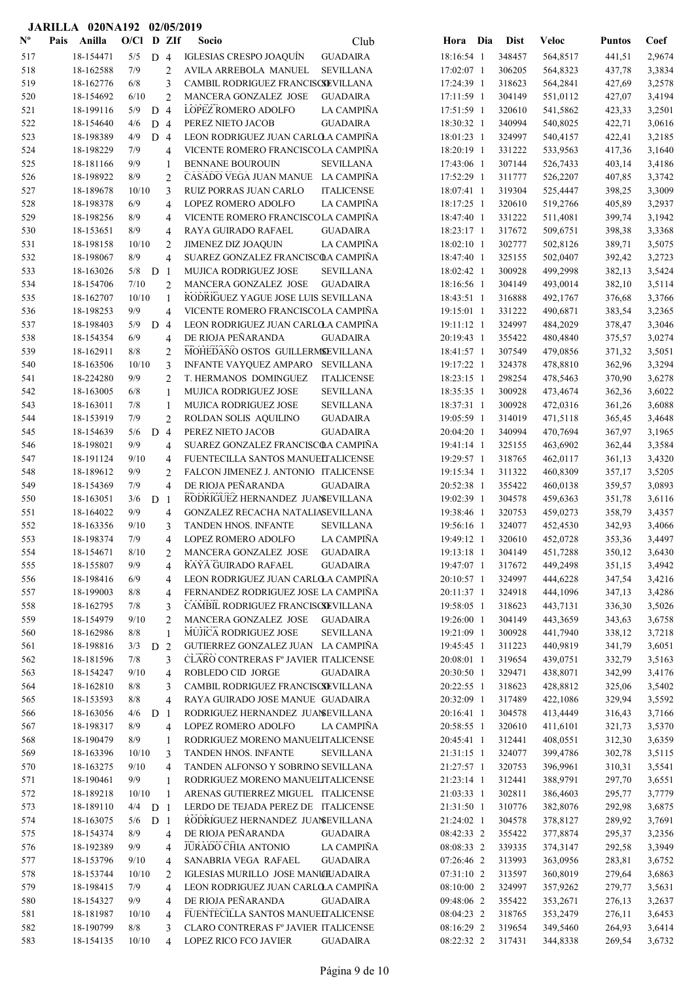|                           |      | JARILLA 020NA192 02/05/2019 |              |                |                     |                                                                           |                          |     |                  |                      |                  |                  |
|---------------------------|------|-----------------------------|--------------|----------------|---------------------|---------------------------------------------------------------------------|--------------------------|-----|------------------|----------------------|------------------|------------------|
| $\mathbf{N}^{\mathbf{o}}$ | Pais | Anilla                      | O/Cl D ZIf   |                |                     | Socio<br>Club                                                             | Hora                     | Dia | <b>Dist</b>      | <b>Veloc</b>         | <b>Puntos</b>    | Coef             |
| 517                       |      | 18-154471                   | 5/5          | D <sub>4</sub> |                     | <b>GUADAIRA</b><br><b>IGLESIAS CRESPO JOAQUÍN</b>                         | 18:16:54 1               |     | 348457           | 564,8517             | 441,51           | 2,9674           |
| 518                       |      | 18-162588                   | 7/9          |                | $\overline{c}$      | AVILA ARREBOLA MANUEL<br><b>SEVILLANA</b>                                 | 17:02:07 1               |     | 306205           | 564,8323             | 437,78           | 3,3834           |
| 519                       |      | 18-162776                   | 6/8          |                | 3                   | CAMBIL RODRIGUEZ FRANCISCSEVILLANA                                        | 17:24:39 1               |     | 318623           | 564,2841             | 427,69           | 3,2578           |
| 520                       |      | 18-154692                   | 6/10         |                | $\overline{c}$      | MANCERA GONZALEZ JOSE<br><b>GUADAIRA</b>                                  | 17:11:59 1               |     | 304149           | 551,0112             | 427,07           | 3,4194           |
| 521                       |      | 18-199116                   | 5/9          | D              | $\overline{4}$      | LOPEZ ROMERO ADOLFO<br>LA CAMPIÑA                                         | 17:51:59 1               |     | 320610           | 541,5862             | 423,33           | 3,2501           |
| 522                       |      | 18-154640                   | 4/6          | D 4            |                     | PEREZ NIETO JACOB<br><b>GUADAIRA</b>                                      | 18:30:32 1               |     | 340994           | 540,8025             | 422,71           | 3,0616           |
| 523                       |      | 18-198389                   | 4/9          | D <sub>4</sub> |                     | LEON RODRIGUEZ JUAN CARLOLA CAMPIÑA                                       | 18:01:23 1               |     | 324997           | 540,4157             | 422,41           | 3,2185           |
| 524                       |      | 18-198229                   | 7/9          |                | 4                   | VICENTE ROMERO FRANCISCOLA CAMPIÑA                                        | 18:20:19 1               |     | 331222           | 533,9563             | 417,36           | 3,1640           |
| 525                       |      | 18-181166                   | 9/9          |                | 1                   | <b>BENNANE BOUROUIN</b><br><b>SEVILLANA</b>                               | 17:43:06 1               |     | 307144           | 526,7433             | 403,14           | 3,4186           |
| 526                       |      | 18-198922                   | 8/9          |                | 2                   | CASADO VEGA JUAN MANUE LA CAMPIÑA                                         | 17:52:29 1               |     | 311777           | 526,2207             | 407,85           | 3,3742           |
| 527                       |      | 18-189678                   | 10/10        |                | 3                   | <b>RUIZ PORRAS JUAN CARLO</b><br><b>ITALICENSE</b>                        | 18:07:41 1               |     | 319304           | 525,4447             | 398,25           | 3,3009           |
| 528                       |      | 18-198378                   | 6/9          |                | 4                   | LOPEZ ROMERO ADOLFO<br><b>LA CAMPIÑA</b>                                  | 18:17:25 1               |     | 320610           | 519,2766             | 405,89           | 3,2937           |
| 529                       |      | 18-198256                   | 8/9          |                | 4                   | VICENTE ROMERO FRANCISCOLA CAMPIÑA                                        | 18:47:40 1               |     | 331222           | 511,4081             | 399,74           | 3,1942           |
| 530                       |      | 18-153651                   | 8/9          |                | 4                   | RAYA GUIRADO RAFAEL<br><b>GUADAIRA</b>                                    | 18:23:17 1               |     | 317672           | 509,6751             | 398,38           | 3,3368           |
| 531                       |      | 18-198158                   | 10/10        |                | $\overline{c}$      | <b>JIMENEZ DIZ JOAQUIN</b><br>LA CAMPIÑA                                  | 18:02:10 1               |     | 302777           | 502,8126             | 389,71           | 3,5075           |
| 532                       |      | 18-198067                   | 8/9          |                | $\overline{4}$      | SUAREZ GONZALEZ FRANCISCOA CAMPIÑA                                        | 18:47:40 1               |     | 325155           | 502,0407             | 392,42           | 3,2723           |
| 533                       |      | 18-163026                   | 5/8          | D              | $\overline{1}$      | MUJICA RODRIGUEZ JOSE<br><b>SEVILLANA</b>                                 | 18:02:42 1               |     | 300928           | 499,2998             | 382,13           | 3,5424           |
| 534                       |      | 18-154706                   | 7/10         |                | $\overline{2}$      | MANCERA GONZALEZ JOSE<br><b>GUADAIRA</b>                                  | 18:16:56 1               |     | 304149           | 493,0014             | 382,10           | 3,5114           |
| 535                       |      | 18-162707                   | 10/10        |                | $\mathbf{1}$        | RODRIGUEZ YAGUE JOSE LUIS SEVILLANA                                       | 18:43:51 1               |     | 316888           | 492,1767             | 376,68           | 3,3766           |
| 536                       |      | 18-198253                   | 9/9          |                | $\overline{4}$      | VICENTE ROMERO FRANCISCOLA CAMPIÑA                                        | 19:15:01 1               |     | 331222           | 490,6871             | 383,54           | 3,2365           |
| 537                       |      | 18-198403                   | 5/9          | D <sub>4</sub> |                     | LEON RODRIGUEZ JUAN CARLO A CAMPIÑA                                       | 19:11:12 1               |     | 324997           | 484,2029             | 378,47           | 3,3046           |
| 538                       |      | 18-154354                   | 6/9          |                | 4                   | DE RIOJA PEÑARANDA<br><b>GUADAIRA</b>                                     | 20:19:43 1               |     | 355422           | 480,4840             | 375,57           | 3,0274           |
| 539                       |      | 18-162911                   | 8/8          |                | 2                   | MOHEDANO OSTOS GUILLERMSEVILLANA                                          | 18:41:57 1               |     | 307549           | 479,0856             | 371,32           | 3,5051           |
| 540                       |      | 18-163506                   | 10/10<br>9/9 |                | 3                   | <b>INFANTE VAYQUEZ AMPARO</b><br><b>SEVILLANA</b>                         | 19:17:22 1               |     | 324378<br>298254 | 478,8810             | 362,96           | 3,3294           |
| 541                       |      | 18-224280<br>18-163005      | 6/8          |                | $\overline{c}$<br>1 | T. HERMANOS DOMINGUEZ<br><b>ITALICENSE</b><br><b>SEVILLANA</b>            | 18:23:15 1<br>18:35:35 1 |     | 300928           | 478,5463<br>473,4674 | 370,90           | 3,6278<br>3,6022 |
| 542<br>543                |      | 18-163011                   | 7/8          |                | 1                   | <b>MUJICA RODRIGUEZ JOSE</b><br>MUJICA RODRIGUEZ JOSE<br><b>SEVILLANA</b> | 18:37:31 1               |     | 300928           | 472,0316             | 362,36<br>361,26 | 3,6088           |
| 544                       |      | 18-153919                   | 7/9          |                | $\overline{c}$      | ROLDAN SOLIS AQUILINO<br><b>GUADAIRA</b>                                  | 19:05:59 1               |     | 314019           | 471,5118             | 365,45           | 3,4648           |
| 545                       |      | 18-154639                   | 5/6          | D              | $\overline{4}$      | PEREZ NIETO JACOB<br><b>GUADAIRA</b>                                      | 20:04:20 1               |     | 340994           | 470,7694             | 367,97           | 3,1965           |
| 546                       |      | 18-198021                   | 9/9          |                | 4                   | SUAREZ GONZALEZ FRANCISCOA CAMPIÑA                                        | 19:41:14 1               |     | 325155           | 463,6902             | 362,44           | 3,3584           |
| 547                       |      | 18-191124                   | 9/10         |                | $\overline{4}$      | FUENTECILLA SANTOS MANUELTALICENSE                                        | 19:29:57 1               |     | 318765           | 462,0117             | 361,13           | 3,4320           |
| 548                       |      | 18-189612                   | 9/9          |                | $\overline{2}$      | FALCON JIMENEZ J. ANTONIO ITALICENSE                                      | 19:15:34 1               |     | 311322           | 460,8309             | 357,17           | 3,5205           |
| 549                       |      | 18-154369                   | 7/9          |                | 4                   | DE RIOJA PEÑARANDA<br><b>GUADAIRA</b>                                     | 20:52:38 1               |     | 355422           | 460,0138             | 359,57           | 3,0893           |
| 550                       |      | 18-163051                   | 3/6          | D <sub>1</sub> |                     | RODRIGUEZ HERNANDEZ JUANEVILLANA                                          | 19:02:39 1               |     | 304578           | 459,6363             | 351,78           | 3,6116           |
| 551                       |      | 18-164022                   | 9/9          |                | 4                   | GONZALEZ RECACHA NATALIASEVILLANA                                         | 19:38:46 1               |     | 320753           | 459,0273             | 358,79           | 3,4357           |
| 552                       |      | 18-163356                   | 9/10         |                | 3                   | <b>TANDEN HNOS. INFANTE</b><br><b>SEVILLANA</b>                           | 19:56:16 1               |     | 324077           | 452,4530             | 342,93           | 3,4066           |
| 553                       |      | 18-198374                   | 7/9          |                | 4                   | LA CAMPIÑA<br>LOPEZ ROMERO ADOLFO                                         | 19:49:12 1               |     | 320610           | 452,0728             | 353,36           | 3,4497           |
| 554                       |      | 18-154671                   | 8/10         |                | 2                   | MANCERA GONZALEZ JOSE<br><b>GUADAIRA</b>                                  | 19:13:18 1               |     | 304149           | 451,7288             | 350,12           | 3,6430           |
| 555                       |      | 18-155807                   | 9/9          |                | 4                   | RAYA GUIRADO RAFAEL<br><b>GUADAIRA</b>                                    | 19:47:07 1               |     | 317672           | 449,2498             | 351,15           | 3,4942           |
| 556                       |      | 18-198416                   | 6/9          |                | 4                   | LEON RODRIGUEZ JUAN CARLO A CAMPIÑA                                       | 20:10:57 1               |     | 324997           | 444,6228             | 347,54           | 3,4216           |
| 557                       |      | 18-199003                   | 8/8          |                | 4                   | FERNANDEZ RODRIGUEZ JOSE LA CAMPIÑA                                       | 20:11:37 1               |     | 324918           | 444,1096             | 347,13           | 3,4286           |
| 558                       |      | 18-162795                   | 7/8          |                | 3                   | CAMBIL RODRIGUEZ FRANCISCSEVILLANA                                        | 19:58:05 1               |     | 318623           | 443,7131             | 336,30           | 3,5026           |
| 559                       |      | 18-154979                   | 9/10         |                | $\overline{2}$      | MANCERA GONZALEZ JOSE<br><b>GUADAIRA</b>                                  | 19:26:00 1               |     | 304149           | 443,3659             | 343,63           | 3,6758           |
| 560                       |      | 18-162986                   | 8/8          |                | $\mathbf{1}$        | MUJICA RODRIGUEZ JOSE<br><b>SEVILLANA</b>                                 | 19:21:09 1               |     | 300928           | 441,7940             | 338,12           | 3,7218           |
| 561                       |      | 18-198816                   | 3/3          | D              | 2                   | GUTIERREZ GONZALEZ JUAN LA CAMPIÑA                                        | 19:45:45 1               |     | 311223           | 440,9819             | 341,79           | 3,6051           |
| 562                       |      | 18-181596                   | 7/8          |                | 3                   | CLARO CONTRERAS Fº JAVIER ITALICENSE                                      | 20:08:01 1               |     | 319654           | 439,0751             | 332,79           | 3,5163           |
| 563                       |      | 18-154247                   | 9/10         |                | $\overline{4}$      | ROBLEDO CID JORGE<br>GUADAIRA                                             | 20:30:50 1               |     | 329471           | 438,8071             | 342,99           | 3,4176           |
| 564                       |      | 18-162810                   | 8/8          |                | 3                   | CAMBIL RODRIGUEZ FRANCISCSEVILLANA                                        | 20:22:55 1               |     | 318623           | 428,8812             | 325,06           | 3,5402           |
| 565                       |      | 18-153593                   | 8/8          |                | 4                   | RAYA GUIRADO JOSE MANUE GUADAIRA                                          | 20:32:09 1               |     | 317489           | 422,1086             | 329,94           | 3,5592           |
| 566                       |      | 18-163056                   | 4/6          | D <sub>1</sub> |                     | RODRIGUEZ HERNANDEZ JUANSEVILLANA                                         | 20:16:41 1               |     | 304578           | 413,4449             | 316,43           | 3,7166           |
| 567                       |      | 18-198317                   | $8/9$        |                | 4                   | LOPEZ ROMERO ADOLFO<br>LA CAMPIÑA                                         | 20:58:55 1               |     | 320610           | 411,6101             | 321,73           | 3,5370           |
| 568                       |      | 18-190479                   | 8/9          |                | 1                   | RODRIGUEZ MORENO MANUELITALICENSE                                         | 20:45:41 1               |     | 312441           | 408,0551             | 312,30           | 3,6359           |
| 569                       |      | 18-163396                   | 10/10        |                | 3                   | TANDEN HNOS. INFANTE<br><b>SEVILLANA</b>                                  | 21:31:15 1               |     | 324077           | 399,4786             | 302,78           | 3,5115           |
| 570                       |      | 18-163275                   | 9/10         |                | 4                   | TANDEN ALFONSO Y SOBRINO SEVILLANA                                        | 21:27:57 1               |     | 320753           | 396,9961             | 310,31           | 3,5541           |
| 571                       |      | 18-190461                   | 9/9          |                | $\mathbf{1}$        | RODRIGUEZ MORENO MANUELITALICENSE                                         | 21:23:14 1               |     | 312441           | 388,9791             | 297,70           | 3,6551           |
| 572                       |      | 18-189218                   | 10/10        |                | $\mathbf{1}$        | ARENAS GUTIERREZ MIGUEL ITALICENSE                                        | 21:03:33 1               |     | 302811           | 386,4603             | 295,77           | 3,7779           |
| 573                       |      | 18-189110                   | 4/4          | D <sub>1</sub> |                     | LERDO DE TEJADA PEREZ DE ITALICENSE                                       | 21:31:50 1               |     | 310776           | 382,8076             | 292,98           | 3,6875           |
| 574                       |      | 18-163075                   | 5/6          | D <sub>1</sub> |                     | RODRIGUEZ HERNANDEZ JUANSEVILLANA                                         | 21:24:02 1               |     | 304578           | 378,8127             | 289,92           | 3,7691           |
| 575                       |      | 18-154374                   | 8/9          |                | 4                   | DE RIOJA PEÑARANDA<br><b>GUADAIRA</b>                                     | 08:42:33 2               |     | 355422           | 377,8874             | 295,37           | 3,2356           |
| 576                       |      | 18-192389                   | 9/9          |                | 4                   | JURADO CHIA ANTONIO<br>LA CAMPIÑA                                         | 08:08:33 2               |     | 339335           | 374,3147             | 292,58           | 3,3949           |
| 577                       |      | 18-153796                   | 9/10         |                | 4                   | SANABRIA VEGA RAFAEL<br><b>GUADAIRA</b>                                   | 07:26:46 2               |     | 313993           | 363,0956             | 283,81           | 3,6752           |
| 578                       |      | 18-153744                   | 10/10        |                | $\overline{c}$      | IGLESIAS MURILLO JOSE MANUILADAIRA                                        | 07:31:10 2               |     | 313597           | 360,8019             | 279,64           | 3,6863           |
| 579                       |      | 18-198415                   | 7/9          |                | 4                   | LEON RODRIGUEZ JUAN CARLOLA CAMPIÑA                                       | 08:10:00 2               |     | 324997           | 357,9262             | 279,77           | 3,5631           |
| 580                       |      | 18-154327                   | 9/9          |                | 4                   | DE RIOJA PEÑARANDA<br><b>GUADAIRA</b>                                     | 09:48:06 2               |     | 355422           | 353,2671             | 276,13           | 3,2637           |
| 581                       |      | 18-181987                   | 10/10        |                | $\overline{4}$      | FUENTECILLA SANTOS MANUELTALICENSE                                        | 08:04:23 2               |     | 318765           | 353,2479             | 276,11           | 3,6453           |
| 582                       |      | 18-190799                   | 8/8          |                | 3                   | CLARO CONTRERAS Fº JAVIER ITALICENSE                                      | 08:16:29 2               |     | 319654           | 349,5460             | 264,93           | 3,6414           |
| 583                       |      | 18-154135                   | 10/10        |                | $\overline{4}$      | <b>LOPEZ RICO FCO JAVIER</b><br><b>GUADAIRA</b>                           | 08:22:32 2               |     | 317431           | 344,8338             | 269,54           | 3,6732           |